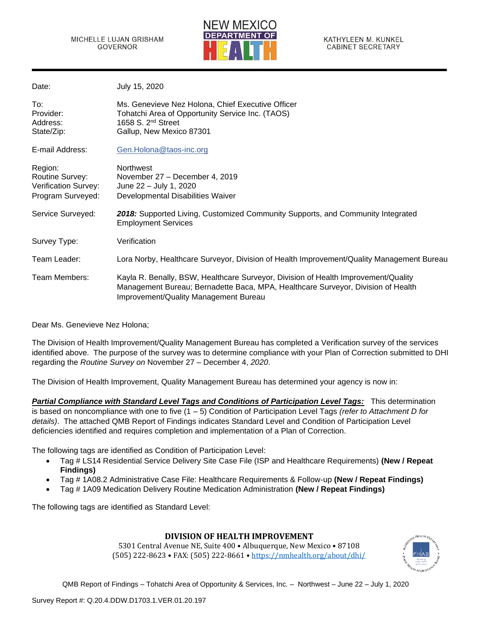

| Date:                                                                          | July 15, 2020                                                                                                                                                                                                   |
|--------------------------------------------------------------------------------|-----------------------------------------------------------------------------------------------------------------------------------------------------------------------------------------------------------------|
| To:<br>Provider:<br>Address:<br>State/Zip:                                     | Ms. Genevieve Nez Holona, Chief Executive Officer<br>Tohatchi Area of Opportunity Service Inc. (TAOS)<br>1658 S. $2nd$ Street<br>Gallup, New Mexico 87301                                                       |
| E-mail Address:                                                                | Gen.Holona@taos-inc.org                                                                                                                                                                                         |
| Region:<br>Routine Survey:<br><b>Verification Survey:</b><br>Program Surveyed: | <b>Northwest</b><br>November 27 - December 4, 2019<br>June 22 - July 1, 2020<br>Developmental Disabilities Waiver                                                                                               |
| Service Surveyed:                                                              | 2018: Supported Living, Customized Community Supports, and Community Integrated<br><b>Employment Services</b>                                                                                                   |
| Survey Type:                                                                   | Verification                                                                                                                                                                                                    |
| Team Leader:                                                                   | Lora Norby, Healthcare Surveyor, Division of Health Improvement/Quality Management Bureau                                                                                                                       |
| Team Members:                                                                  | Kayla R. Benally, BSW, Healthcare Surveyor, Division of Health Improvement/Quality<br>Management Bureau; Bernadette Baca, MPA, Healthcare Surveyor, Division of Health<br>Improvement/Quality Management Bureau |

Dear Ms. Genevieve Nez Holona;

The Division of Health Improvement/Quality Management Bureau has completed a Verification survey of the services identified above. The purpose of the survey was to determine compliance with your Plan of Correction submitted to DHI regarding the *Routine Survey on* November 27 – December 4, *2020*.

The Division of Health Improvement, Quality Management Bureau has determined your agency is now in:

*Partial Compliance with Standard Level Tags and Conditions of Participation Level Tags:* This determination is based on noncompliance with one to five (1 – 5) Condition of Participation Level Tags *(refer to Attachment D for details)*. The attached QMB Report of Findings indicates Standard Level and Condition of Participation Level deficiencies identified and requires completion and implementation of a Plan of Correction.

The following tags are identified as Condition of Participation Level:

- Tag # LS14 Residential Service Delivery Site Case File (ISP and Healthcare Requirements) **(New / Repeat Findings)**
- Tag # 1A08.2 Administrative Case File: Healthcare Requirements & Follow-up **(New / Repeat Findings)**
- Tag # 1A09 Medication Delivery Routine Medication Administration **(New / Repeat Findings)**

The following tags are identified as Standard Level:

## **DIVISION OF HEALTH IMPROVEMENT**

5301 Central Avenue NE, Suite 400 • Albuquerque, New Mexico • 87108 (505) 222-8623 • FAX: (505) 222-8661 • <https://nmhealth.org/about/dhi/>

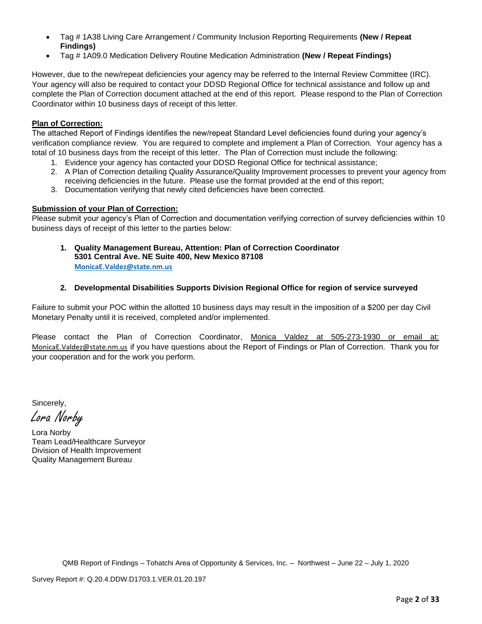- Tag # 1A38 Living Care Arrangement / Community Inclusion Reporting Requirements **(New / Repeat Findings)**
- Tag # 1A09.0 Medication Delivery Routine Medication Administration **(New / Repeat Findings)**

However, due to the new/repeat deficiencies your agency may be referred to the Internal Review Committee (IRC). Your agency will also be required to contact your DDSD Regional Office for technical assistance and follow up and complete the Plan of Correction document attached at the end of this report. Please respond to the Plan of Correction Coordinator within 10 business days of receipt of this letter.

## **Plan of Correction:**

The attached Report of Findings identifies the new/repeat Standard Level deficiencies found during your agency's verification compliance review. You are required to complete and implement a Plan of Correction. Your agency has a total of 10 business days from the receipt of this letter. The Plan of Correction must include the following:

- 1. Evidence your agency has contacted your DDSD Regional Office for technical assistance;
- 2. A Plan of Correction detailing Quality Assurance/Quality Improvement processes to prevent your agency from receiving deficiencies in the future. Please use the format provided at the end of this report;
- 3. Documentation verifying that newly cited deficiencies have been corrected.

## **Submission of your Plan of Correction:**

Please submit your agency's Plan of Correction and documentation verifying correction of survey deficiencies within 10 business days of receipt of this letter to the parties below:

**1. Quality Management Bureau, Attention: Plan of Correction Coordinator 5301 Central Ave. NE Suite 400, New Mexico 87108 [MonicaE.Valdez@state.nm.us](mailto:MonicaE.Valdez@state.nm.us)**

## **2. Developmental Disabilities Supports Division Regional Office for region of service surveyed**

Failure to submit your POC within the allotted 10 business days may result in the imposition of a \$200 per day Civil Monetary Penalty until it is received, completed and/or implemented.

Please contact the Plan of Correction Coordinator, Monica Valdez at 505-273-1930 or email at: [MonicaE.Valdez@state.nm.us](mailto:MonicaE.Valdez@state.nm.us) if you have questions about the Report of Findings or Plan of Correction. Thank you for your cooperation and for the work you perform.

Sincerely,

Lora Norby

Lora Norby Team Lead/Healthcare Surveyor Division of Health Improvement Quality Management Bureau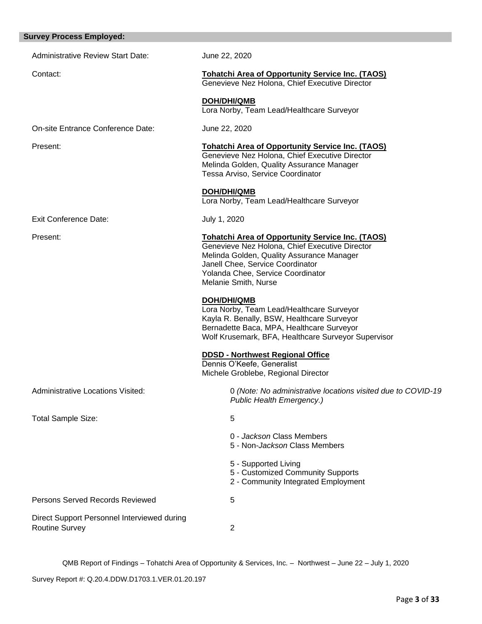| <b>Survey Process Employed:</b>                                      |                                                                                                                                                                                                                                                         |
|----------------------------------------------------------------------|---------------------------------------------------------------------------------------------------------------------------------------------------------------------------------------------------------------------------------------------------------|
| <b>Administrative Review Start Date:</b>                             | June 22, 2020                                                                                                                                                                                                                                           |
| Contact:                                                             | <b>Tohatchi Area of Opportunity Service Inc. (TAOS)</b><br>Genevieve Nez Holona, Chief Executive Director                                                                                                                                               |
|                                                                      | <b>DOH/DHI/QMB</b><br>Lora Norby, Team Lead/Healthcare Surveyor                                                                                                                                                                                         |
| On-site Entrance Conference Date:                                    | June 22, 2020                                                                                                                                                                                                                                           |
| Present:                                                             | <b>Tohatchi Area of Opportunity Service Inc. (TAOS)</b><br>Genevieve Nez Holona, Chief Executive Director<br>Melinda Golden, Quality Assurance Manager<br>Tessa Arviso, Service Coordinator                                                             |
|                                                                      | <b>DOH/DHI/QMB</b><br>Lora Norby, Team Lead/Healthcare Surveyor                                                                                                                                                                                         |
| <b>Exit Conference Date:</b>                                         | July 1, 2020                                                                                                                                                                                                                                            |
| Present:                                                             | <b>Tohatchi Area of Opportunity Service Inc. (TAOS)</b><br>Genevieve Nez Holona, Chief Executive Director<br>Melinda Golden, Quality Assurance Manager<br>Janell Chee, Service Coordinator<br>Yolanda Chee, Service Coordinator<br>Melanie Smith, Nurse |
|                                                                      | <b>DOH/DHI/QMB</b><br>Lora Norby, Team Lead/Healthcare Surveyor<br>Kayla R. Benally, BSW, Healthcare Surveyor<br>Bernadette Baca, MPA, Healthcare Surveyor<br>Wolf Krusemark, BFA, Healthcare Surveyor Supervisor                                       |
|                                                                      | <b>DDSD - Northwest Regional Office</b><br>Dennis O'Keefe, Generalist<br>Michele Groblebe, Regional Director                                                                                                                                            |
| <b>Administrative Locations Visited:</b>                             | 0 (Note: No administrative locations visited due to COVID-19<br>Public Health Emergency.)                                                                                                                                                               |
| <b>Total Sample Size:</b>                                            | 5                                                                                                                                                                                                                                                       |
|                                                                      | 0 - Jackson Class Members<br>5 - Non-Jackson Class Members                                                                                                                                                                                              |
|                                                                      | 5 - Supported Living<br>5 - Customized Community Supports<br>2 - Community Integrated Employment                                                                                                                                                        |
| Persons Served Records Reviewed                                      | 5                                                                                                                                                                                                                                                       |
| Direct Support Personnel Interviewed during<br><b>Routine Survey</b> | 2                                                                                                                                                                                                                                                       |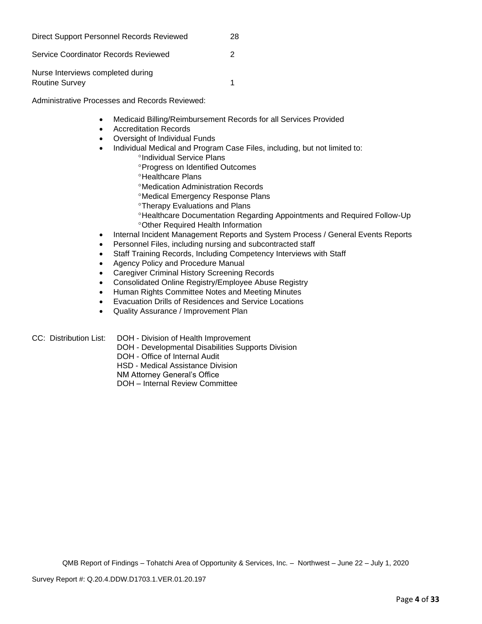| Direct Support Personnel Records Reviewed           | 28 |
|-----------------------------------------------------|----|
| Service Coordinator Records Reviewed                | 2  |
| Nurse Interviews completed during<br>Routine Survey |    |

Administrative Processes and Records Reviewed:

- Medicaid Billing/Reimbursement Records for all Services Provided
- Accreditation Records
- Oversight of Individual Funds
- Individual Medical and Program Case Files, including, but not limited to:
	- <sup>o</sup>Individual Service Plans
	- Progress on Identified Outcomes
	- <sup>o</sup>Healthcare Plans
	- Medication Administration Records
	- Medical Emergency Response Plans
	- Therapy Evaluations and Plans
	- Healthcare Documentation Regarding Appointments and Required Follow-Up Other Required Health Information
- Internal Incident Management Reports and System Process / General Events Reports
- Personnel Files, including nursing and subcontracted staff
- Staff Training Records, Including Competency Interviews with Staff
- Agency Policy and Procedure Manual
- Caregiver Criminal History Screening Records
- Consolidated Online Registry/Employee Abuse Registry
- Human Rights Committee Notes and Meeting Minutes
- Evacuation Drills of Residences and Service Locations
- Quality Assurance / Improvement Plan

CC: Distribution List: DOH - Division of Health Improvement

- DOH Developmental Disabilities Supports Division
	- DOH Office of Internal Audit

HSD - Medical Assistance Division

NM Attorney General's Office

DOH – Internal Review Committee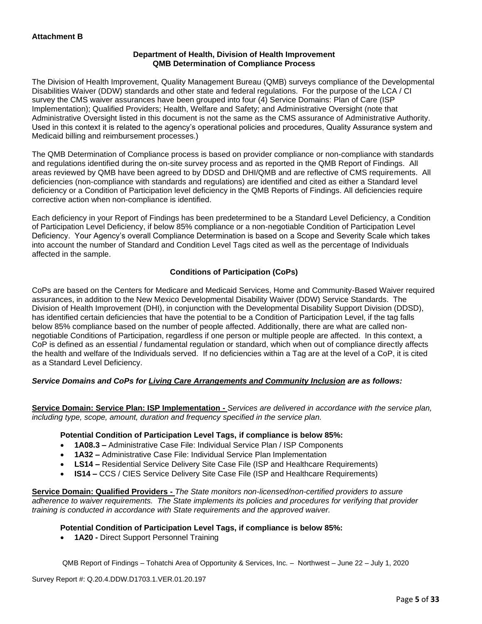#### **Department of Health, Division of Health Improvement QMB Determination of Compliance Process**

The Division of Health Improvement, Quality Management Bureau (QMB) surveys compliance of the Developmental Disabilities Waiver (DDW) standards and other state and federal regulations. For the purpose of the LCA / CI survey the CMS waiver assurances have been grouped into four (4) Service Domains: Plan of Care (ISP Implementation); Qualified Providers; Health, Welfare and Safety; and Administrative Oversight (note that Administrative Oversight listed in this document is not the same as the CMS assurance of Administrative Authority. Used in this context it is related to the agency's operational policies and procedures, Quality Assurance system and Medicaid billing and reimbursement processes.)

The QMB Determination of Compliance process is based on provider compliance or non-compliance with standards and regulations identified during the on-site survey process and as reported in the QMB Report of Findings. All areas reviewed by QMB have been agreed to by DDSD and DHI/QMB and are reflective of CMS requirements. All deficiencies (non-compliance with standards and regulations) are identified and cited as either a Standard level deficiency or a Condition of Participation level deficiency in the QMB Reports of Findings. All deficiencies require corrective action when non-compliance is identified.

Each deficiency in your Report of Findings has been predetermined to be a Standard Level Deficiency, a Condition of Participation Level Deficiency, if below 85% compliance or a non-negotiable Condition of Participation Level Deficiency. Your Agency's overall Compliance Determination is based on a Scope and Severity Scale which takes into account the number of Standard and Condition Level Tags cited as well as the percentage of Individuals affected in the sample.

## **Conditions of Participation (CoPs)**

CoPs are based on the Centers for Medicare and Medicaid Services, Home and Community-Based Waiver required assurances, in addition to the New Mexico Developmental Disability Waiver (DDW) Service Standards. The Division of Health Improvement (DHI), in conjunction with the Developmental Disability Support Division (DDSD), has identified certain deficiencies that have the potential to be a Condition of Participation Level, if the tag falls below 85% compliance based on the number of people affected. Additionally, there are what are called nonnegotiable Conditions of Participation, regardless if one person or multiple people are affected. In this context, a CoP is defined as an essential / fundamental regulation or standard, which when out of compliance directly affects the health and welfare of the Individuals served. If no deficiencies within a Tag are at the level of a CoP, it is cited as a Standard Level Deficiency.

## *Service Domains and CoPs for Living Care Arrangements and Community Inclusion are as follows:*

**Service Domain: Service Plan: ISP Implementation -** *Services are delivered in accordance with the service plan, including type, scope, amount, duration and frequency specified in the service plan.*

#### **Potential Condition of Participation Level Tags, if compliance is below 85%:**

- **1A08.3 –** Administrative Case File: Individual Service Plan / ISP Components
- **1A32 –** Administrative Case File: Individual Service Plan Implementation
- **LS14 –** Residential Service Delivery Site Case File (ISP and Healthcare Requirements)
- **IS14 –** CCS / CIES Service Delivery Site Case File (ISP and Healthcare Requirements)

**Service Domain: Qualified Providers -** *The State monitors non-licensed/non-certified providers to assure adherence to waiver requirements. The State implements its policies and procedures for verifying that provider training is conducted in accordance with State requirements and the approved waiver.*

#### **Potential Condition of Participation Level Tags, if compliance is below 85%:**

• **1A20 -** Direct Support Personnel Training

QMB Report of Findings – Tohatchi Area of Opportunity & Services, Inc. – Northwest – June 22 – July 1, 2020

Survey Report #: Q.20.4.DDW.D1703.1.VER.01.20.197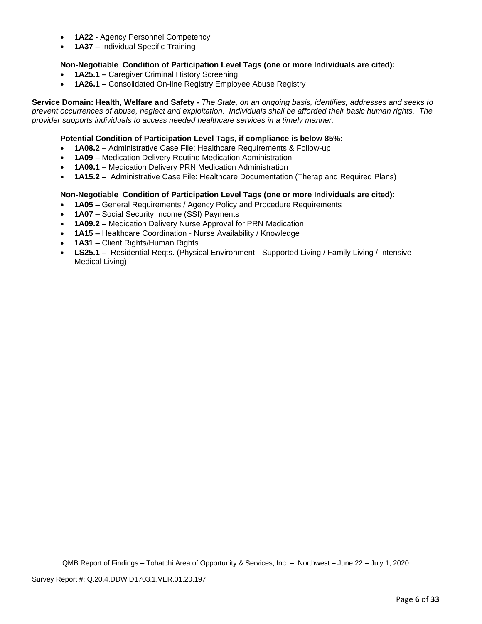- **1A22 -** Agency Personnel Competency
- **1A37 –** Individual Specific Training

## **Non-Negotiable Condition of Participation Level Tags (one or more Individuals are cited):**

- **1A25.1 –** Caregiver Criminal History Screening
- **1A26.1 –** Consolidated On-line Registry Employee Abuse Registry

**Service Domain: Health, Welfare and Safety -** *The State, on an ongoing basis, identifies, addresses and seeks to prevent occurrences of abuse, neglect and exploitation. Individuals shall be afforded their basic human rights. The provider supports individuals to access needed healthcare services in a timely manner.*

## **Potential Condition of Participation Level Tags, if compliance is below 85%:**

- **1A08.2 –** Administrative Case File: Healthcare Requirements & Follow-up
- **1A09 –** Medication Delivery Routine Medication Administration
- **1A09.1 –** Medication Delivery PRN Medication Administration
- **1A15.2 –** Administrative Case File: Healthcare Documentation (Therap and Required Plans)

## **Non-Negotiable Condition of Participation Level Tags (one or more Individuals are cited):**

- **1A05 –** General Requirements / Agency Policy and Procedure Requirements
- **1A07 –** Social Security Income (SSI) Payments
- **1A09.2 –** Medication Delivery Nurse Approval for PRN Medication
- **1A15 –** Healthcare Coordination Nurse Availability / Knowledge
- **1A31 –** Client Rights/Human Rights
- **LS25.1 –** Residential Reqts. (Physical Environment Supported Living / Family Living / Intensive Medical Living)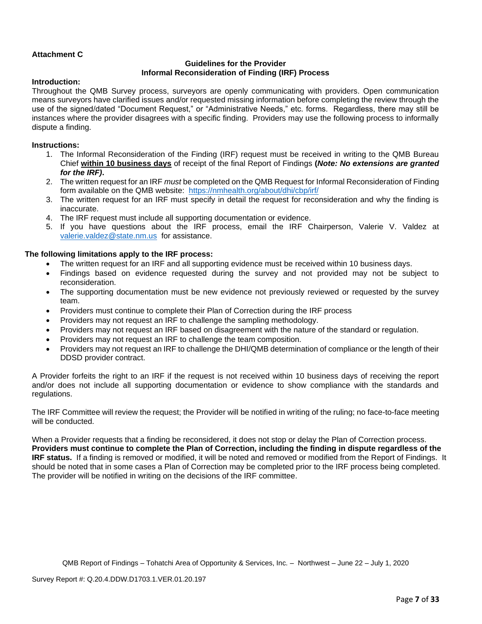## **Attachment C**

#### **Guidelines for the Provider Informal Reconsideration of Finding (IRF) Process**

#### **Introduction:**

Throughout the QMB Survey process, surveyors are openly communicating with providers. Open communication means surveyors have clarified issues and/or requested missing information before completing the review through the use of the signed/dated "Document Request," or "Administrative Needs," etc. forms. Regardless, there may still be instances where the provider disagrees with a specific finding. Providers may use the following process to informally dispute a finding.

#### **Instructions:**

- 1. The Informal Reconsideration of the Finding (IRF) request must be received in writing to the QMB Bureau Chief **within 10 business days** of receipt of the final Report of Findings **(***Note: No extensions are granted for the IRF)***.**
- 2. The written request for an IRF *must* be completed on the QMB Request for Informal Reconsideration of Finding form available on the QMB website: <https://nmhealth.org/about/dhi/cbp/irf/>
- 3. The written request for an IRF must specify in detail the request for reconsideration and why the finding is inaccurate.
- 4. The IRF request must include all supporting documentation or evidence.
- 5. If you have questions about the IRF process, email the IRF Chairperson, Valerie V. Valdez at [valerie.valdez@state.nm.us](mailto:valerie.valdez@state.nm.us) for assistance.

#### **The following limitations apply to the IRF process:**

- The written request for an IRF and all supporting evidence must be received within 10 business days.
- Findings based on evidence requested during the survey and not provided may not be subject to reconsideration.
- The supporting documentation must be new evidence not previously reviewed or requested by the survey team.
- Providers must continue to complete their Plan of Correction during the IRF process
- Providers may not request an IRF to challenge the sampling methodology.
- Providers may not request an IRF based on disagreement with the nature of the standard or regulation.
- Providers may not request an IRF to challenge the team composition.
- Providers may not request an IRF to challenge the DHI/QMB determination of compliance or the length of their DDSD provider contract.

A Provider forfeits the right to an IRF if the request is not received within 10 business days of receiving the report and/or does not include all supporting documentation or evidence to show compliance with the standards and regulations.

The IRF Committee will review the request; the Provider will be notified in writing of the ruling; no face-to-face meeting will be conducted.

When a Provider requests that a finding be reconsidered, it does not stop or delay the Plan of Correction process. **Providers must continue to complete the Plan of Correction, including the finding in dispute regardless of the IRF status.** If a finding is removed or modified, it will be noted and removed or modified from the Report of Findings. It should be noted that in some cases a Plan of Correction may be completed prior to the IRF process being completed. The provider will be notified in writing on the decisions of the IRF committee.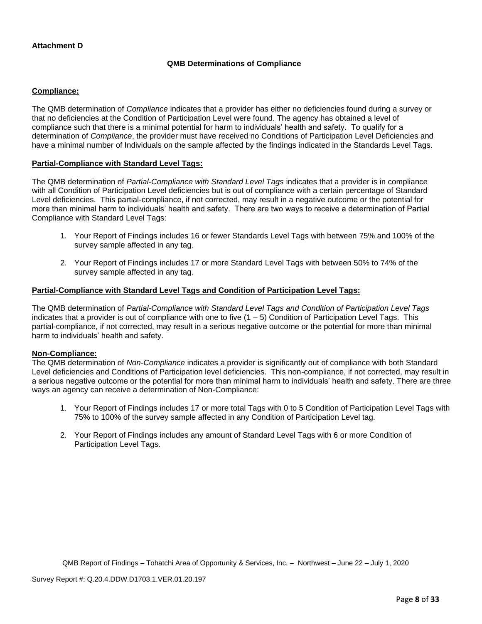#### **Attachment D**

#### **QMB Determinations of Compliance**

#### **Compliance:**

The QMB determination of *Compliance* indicates that a provider has either no deficiencies found during a survey or that no deficiencies at the Condition of Participation Level were found. The agency has obtained a level of compliance such that there is a minimal potential for harm to individuals' health and safety. To qualify for a determination of *Compliance*, the provider must have received no Conditions of Participation Level Deficiencies and have a minimal number of Individuals on the sample affected by the findings indicated in the Standards Level Tags.

#### **Partial-Compliance with Standard Level Tags:**

The QMB determination of *Partial-Compliance with Standard Level Tags* indicates that a provider is in compliance with all Condition of Participation Level deficiencies but is out of compliance with a certain percentage of Standard Level deficiencies. This partial-compliance, if not corrected, may result in a negative outcome or the potential for more than minimal harm to individuals' health and safety. There are two ways to receive a determination of Partial Compliance with Standard Level Tags:

- 1. Your Report of Findings includes 16 or fewer Standards Level Tags with between 75% and 100% of the survey sample affected in any tag.
- 2. Your Report of Findings includes 17 or more Standard Level Tags with between 50% to 74% of the survey sample affected in any tag.

#### **Partial-Compliance with Standard Level Tags and Condition of Participation Level Tags:**

The QMB determination of *Partial-Compliance with Standard Level Tags and Condition of Participation Level Tags*  indicates that a provider is out of compliance with one to five  $(1 - 5)$  Condition of Participation Level Tags. This partial-compliance, if not corrected, may result in a serious negative outcome or the potential for more than minimal harm to individuals' health and safety.

#### **Non-Compliance:**

The QMB determination of *Non-Compliance* indicates a provider is significantly out of compliance with both Standard Level deficiencies and Conditions of Participation level deficiencies. This non-compliance, if not corrected, may result in a serious negative outcome or the potential for more than minimal harm to individuals' health and safety. There are three ways an agency can receive a determination of Non-Compliance:

- 1. Your Report of Findings includes 17 or more total Tags with 0 to 5 Condition of Participation Level Tags with 75% to 100% of the survey sample affected in any Condition of Participation Level tag.
- 2. Your Report of Findings includes any amount of Standard Level Tags with 6 or more Condition of Participation Level Tags.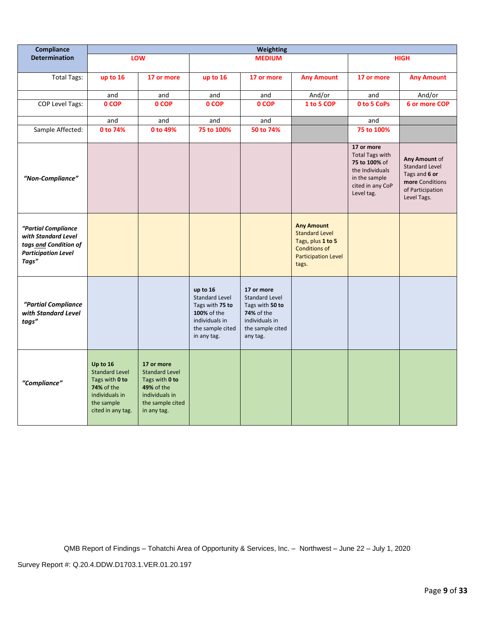| Compliance                                                                                                 | <b>Weighting</b>                                                                                                              |                                                                                                                          |                                                                                                                          |                                                                                                                               |                                                                                                                                |                                                                                                                             |                                                                                                               |
|------------------------------------------------------------------------------------------------------------|-------------------------------------------------------------------------------------------------------------------------------|--------------------------------------------------------------------------------------------------------------------------|--------------------------------------------------------------------------------------------------------------------------|-------------------------------------------------------------------------------------------------------------------------------|--------------------------------------------------------------------------------------------------------------------------------|-----------------------------------------------------------------------------------------------------------------------------|---------------------------------------------------------------------------------------------------------------|
| <b>Determination</b>                                                                                       |                                                                                                                               | LOW                                                                                                                      |                                                                                                                          | <b>MEDIUM</b>                                                                                                                 |                                                                                                                                |                                                                                                                             | <b>HIGH</b>                                                                                                   |
| <b>Total Tags:</b>                                                                                         | up to 16                                                                                                                      | 17 or more                                                                                                               | up to 16                                                                                                                 | 17 or more                                                                                                                    | <b>Any Amount</b>                                                                                                              | 17 or more                                                                                                                  | <b>Any Amount</b>                                                                                             |
|                                                                                                            | and                                                                                                                           | and                                                                                                                      | and                                                                                                                      | and                                                                                                                           | And/or                                                                                                                         | and                                                                                                                         | And/or                                                                                                        |
| COP Level Tags:                                                                                            | 0 COP                                                                                                                         | 0 COP                                                                                                                    | 0 COP                                                                                                                    | 0 COP                                                                                                                         | 1 to 5 COP                                                                                                                     | 0 to 5 CoPs                                                                                                                 | 6 or more COP                                                                                                 |
|                                                                                                            | and                                                                                                                           | and                                                                                                                      | and                                                                                                                      | and                                                                                                                           |                                                                                                                                | and                                                                                                                         |                                                                                                               |
| Sample Affected:                                                                                           | 0 to 74%                                                                                                                      | 0 to 49%                                                                                                                 | 75 to 100%                                                                                                               | 50 to 74%                                                                                                                     |                                                                                                                                | 75 to 100%                                                                                                                  |                                                                                                               |
| "Non-Compliance"                                                                                           |                                                                                                                               |                                                                                                                          |                                                                                                                          |                                                                                                                               |                                                                                                                                | 17 or more<br><b>Total Tags with</b><br>75 to 100% of<br>the Individuals<br>in the sample<br>cited in any CoP<br>Level tag. | Any Amount of<br><b>Standard Level</b><br>Tags and 6 or<br>more Conditions<br>of Participation<br>Level Tags. |
| "Partial Compliance<br>with Standard Level<br>tags and Condition of<br><b>Participation Level</b><br>Tags" |                                                                                                                               |                                                                                                                          |                                                                                                                          |                                                                                                                               | <b>Any Amount</b><br><b>Standard Level</b><br>Tags, plus 1 to 5<br><b>Conditions of</b><br><b>Participation Level</b><br>tags. |                                                                                                                             |                                                                                                               |
| "Partial Compliance<br>with Standard Level<br>tags"                                                        |                                                                                                                               |                                                                                                                          | up to 16<br><b>Standard Level</b><br>Tags with 75 to<br>100% of the<br>individuals in<br>the sample cited<br>in any tag. | 17 or more<br><b>Standard Level</b><br>Tags with 50 to<br><b>74%</b> of the<br>individuals in<br>the sample cited<br>any tag. |                                                                                                                                |                                                                                                                             |                                                                                                               |
| "Compliance"                                                                                               | Up to 16<br><b>Standard Level</b><br>Tags with 0 to<br><b>74% of the</b><br>individuals in<br>the sample<br>cited in any tag. | 17 or more<br><b>Standard Level</b><br>Tags with 0 to<br>49% of the<br>individuals in<br>the sample cited<br>in any tag. |                                                                                                                          |                                                                                                                               |                                                                                                                                |                                                                                                                             |                                                                                                               |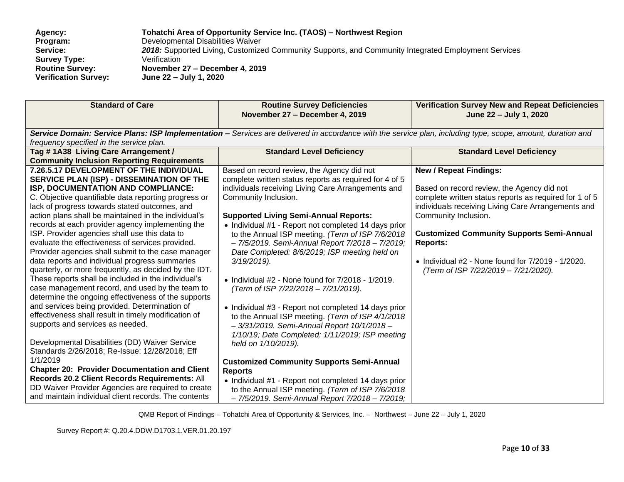| <b>Agency:</b>              | Tohatchi Area of Opportunity Service Inc. (TAOS) – Northwest Region                                 |
|-----------------------------|-----------------------------------------------------------------------------------------------------|
| Program:                    | Developmental Disabilities Waiver                                                                   |
| Service:                    | 2018: Supported Living, Customized Community Supports, and Community Integrated Employment Services |
| <b>Survey Type:</b>         | Verification                                                                                        |
| <b>Routine Survey:</b>      | November 27 – December 4, 2019                                                                      |
| <b>Verification Survey:</b> | June 22 – July 1, 2020                                                                              |

| <b>Standard of Care</b>                                                                                                                                                                                                                                                                                                                                                                                                                                                                                                                                                                                                                                                                                                                                                                                                                                                                                                                                                                                                                                                                                                                                                                                                                                                    | <b>Routine Survey Deficiencies</b><br>November 27 - December 4, 2019                                                                                                                                                                                                                                                                                                                                                                                                                                                                                                                                                                                                                                                                                                                                                                                                                                                                                                                                                                              | <b>Verification Survey New and Repeat Deficiencies</b><br>June 22 - July 1, 2020                                                                                                                                                                                                                                                                                                                     |  |  |
|----------------------------------------------------------------------------------------------------------------------------------------------------------------------------------------------------------------------------------------------------------------------------------------------------------------------------------------------------------------------------------------------------------------------------------------------------------------------------------------------------------------------------------------------------------------------------------------------------------------------------------------------------------------------------------------------------------------------------------------------------------------------------------------------------------------------------------------------------------------------------------------------------------------------------------------------------------------------------------------------------------------------------------------------------------------------------------------------------------------------------------------------------------------------------------------------------------------------------------------------------------------------------|---------------------------------------------------------------------------------------------------------------------------------------------------------------------------------------------------------------------------------------------------------------------------------------------------------------------------------------------------------------------------------------------------------------------------------------------------------------------------------------------------------------------------------------------------------------------------------------------------------------------------------------------------------------------------------------------------------------------------------------------------------------------------------------------------------------------------------------------------------------------------------------------------------------------------------------------------------------------------------------------------------------------------------------------------|------------------------------------------------------------------------------------------------------------------------------------------------------------------------------------------------------------------------------------------------------------------------------------------------------------------------------------------------------------------------------------------------------|--|--|
| Service Domain: Service Plans: ISP Implementation - Services are delivered in accordance with the service plan, including type, scope, amount, duration and<br>frequency specified in the service plan.                                                                                                                                                                                                                                                                                                                                                                                                                                                                                                                                                                                                                                                                                                                                                                                                                                                                                                                                                                                                                                                                    |                                                                                                                                                                                                                                                                                                                                                                                                                                                                                                                                                                                                                                                                                                                                                                                                                                                                                                                                                                                                                                                   |                                                                                                                                                                                                                                                                                                                                                                                                      |  |  |
| Tag #1A38 Living Care Arrangement /<br><b>Community Inclusion Reporting Requirements</b>                                                                                                                                                                                                                                                                                                                                                                                                                                                                                                                                                                                                                                                                                                                                                                                                                                                                                                                                                                                                                                                                                                                                                                                   | <b>Standard Level Deficiency</b>                                                                                                                                                                                                                                                                                                                                                                                                                                                                                                                                                                                                                                                                                                                                                                                                                                                                                                                                                                                                                  | <b>Standard Level Deficiency</b>                                                                                                                                                                                                                                                                                                                                                                     |  |  |
| 7.26.5.17 DEVELOPMENT OF THE INDIVIDUAL<br>SERVICE PLAN (ISP) - DISSEMINATION OF THE<br>ISP, DOCUMENTATION AND COMPLIANCE:<br>C. Objective quantifiable data reporting progress or<br>lack of progress towards stated outcomes, and<br>action plans shall be maintained in the individual's<br>records at each provider agency implementing the<br>ISP. Provider agencies shall use this data to<br>evaluate the effectiveness of services provided.<br>Provider agencies shall submit to the case manager<br>data reports and individual progress summaries<br>quarterly, or more frequently, as decided by the IDT.<br>These reports shall be included in the individual's<br>case management record, and used by the team to<br>determine the ongoing effectiveness of the supports<br>and services being provided. Determination of<br>effectiveness shall result in timely modification of<br>supports and services as needed.<br>Developmental Disabilities (DD) Waiver Service<br>Standards 2/26/2018; Re-Issue: 12/28/2018; Eff<br>1/1/2019<br><b>Chapter 20: Provider Documentation and Client</b><br>Records 20.2 Client Records Requirements: All<br>DD Waiver Provider Agencies are required to create<br>and maintain individual client records. The contents | Based on record review, the Agency did not<br>complete written status reports as required for 4 of 5<br>individuals receiving Living Care Arrangements and<br>Community Inclusion.<br><b>Supported Living Semi-Annual Reports:</b><br>• Individual #1 - Report not completed 14 days prior<br>to the Annual ISP meeting. (Term of ISP 7/6/2018<br>- 7/5/2019. Semi-Annual Report 7/2018 - 7/2019;<br>Date Completed: 8/6/2019; ISP meeting held on<br>$3/19/2019$ ).<br>• Individual $#2$ - None found for $7/2018$ - $1/2019$ .<br>(Term of ISP 7/22/2018 - 7/21/2019).<br>• Individual #3 - Report not completed 14 days prior<br>to the Annual ISP meeting. (Term of ISP 4/1/2018<br>- 3/31/2019. Semi-Annual Report 10/1/2018-<br>1/10/19; Date Completed: 1/11/2019; ISP meeting<br>held on 1/10/2019).<br><b>Customized Community Supports Semi-Annual</b><br><b>Reports</b><br>• Individual #1 - Report not completed 14 days prior<br>to the Annual ISP meeting. (Term of ISP 7/6/2018<br>- 7/5/2019. Semi-Annual Report 7/2018 - 7/2019; | <b>New / Repeat Findings:</b><br>Based on record review, the Agency did not<br>complete written status reports as required for 1 of 5<br>individuals receiving Living Care Arrangements and<br>Community Inclusion.<br><b>Customized Community Supports Semi-Annual</b><br><b>Reports:</b><br>$\bullet$ Individual #2 - None found for $7/2019$ - $1/2020$ .<br>(Term of ISP 7/22/2019 - 7/21/2020). |  |  |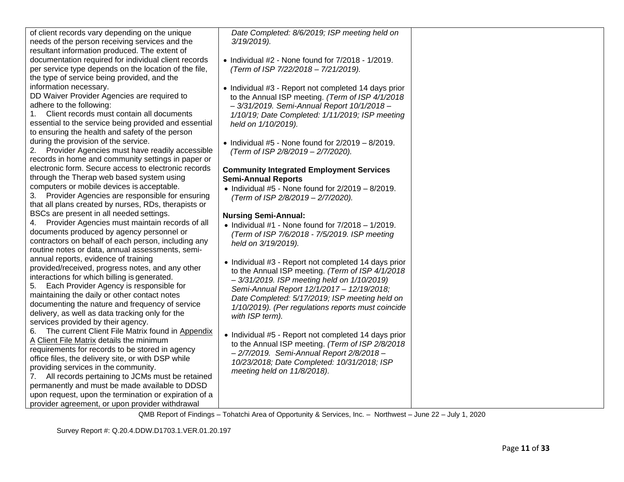| of client records vary depending on the unique        |
|-------------------------------------------------------|
| needs of the person receiving services and the        |
| resultant information produced. The extent of         |
| documentation required for individual client records  |
| per service type depends on the location of the file, |
| the type of service being provided, and the           |
| information necessary.                                |
| DD Waiver Provider Agencies are required to           |

DD Waiver Provider Agencies are required to adhere to the following:

1. Client records must contain all documents essential to the service being provided and essential to ensuring the health and safety of the person during the provision of the service.

2. Provider Agencies must have readily accessible records in home and community settings in paper or electronic form. Secure access to electronic records through the Therap web based system using computers or mobile devices is acceptable.

3. Provider Agencies are responsible for ensuring that all plans created by nurses, RDs, therapists or BSCs are present in all needed settings.

4. Provider Agencies must maintain records of all documents produced by agency personnel or contractors on behalf of each person, including any routine notes or data, annual assessments, semiannual reports, evidence of training provided/received, progress notes, and any other interactions for which billing is generated.

5. Each Provider Agency is responsible for maintaining the daily or other contact notes documenting the nature and frequency of service delivery, as well as data tracking only for the services provided by their agency.

6. The current Client File Matrix found in [Appendix](file:///C:/Users/valerie.valdez/Desktop/2018%20-%20DDW%20Survey%20Field%20Tools/REVISED%20-%20Living%20Care%20and%20Day%20Services%20Survey%20Tools%204-2018/MASTER%20REPORT%202018%20-%20%20RTN%20SURVEY%20LCA%20&%20CI%20Cover%20Letter%20&%20Report%20of%20Findings%204-2018.docx%23_bookmark203)  [A](file:///C:/Users/valerie.valdez/Desktop/2018%20-%20DDW%20Survey%20Field%20Tools/REVISED%20-%20Living%20Care%20and%20Day%20Services%20Survey%20Tools%204-2018/MASTER%20REPORT%202018%20-%20%20RTN%20SURVEY%20LCA%20&%20CI%20Cover%20Letter%20&%20Report%20of%20Findings%204-2018.docx%23_bookmark203) [Client File Matrix](file:///C:/Users/valerie.valdez/Desktop/2018%20-%20DDW%20Survey%20Field%20Tools/REVISED%20-%20Living%20Care%20and%20Day%20Services%20Survey%20Tools%204-2018/MASTER%20REPORT%202018%20-%20%20RTN%20SURVEY%20LCA%20&%20CI%20Cover%20Letter%20&%20Report%20of%20Findings%204-2018.docx%23_bookmark203) details the minimum requirements for records to be stored in agency office files, the delivery site, or with DSP while providing services in the community.

7. All records pertaining to JCMs must be retained permanently and must be made available to DDSD upon request, upon the termination or expiration of a provider agreement, or upon provider withdrawal

*Date Completed: 8/6/2019; ISP meeting held on 3/19/2019).*

- Individual #2 None found for 7/2018 1/2019. *(Term of ISP 7/22/2018 – 7/21/2019).*
- Individual #3 Report not completed 14 days prior to the Annual ISP meeting. *(Term of ISP 4/1/2018 – 3/31/2019. Semi-Annual Report 10/1/2018 – 1/10/19; Date Completed: 1/11/2019; ISP meeting held on 1/10/2019).*
- Individual  $#5$  None found for  $2/2019 8/2019$ . *(Term of ISP 2/8/2019 – 2/7/2020).*

#### **Community Integrated Employment Services Semi-Annual Reports**

• Individual  $#5$  - None found for  $2/2019 - 8/2019$ . *(Term of ISP 2/8/2019 – 2/7/2020).*

## **Nursing Semi-Annual:**

- Individual  $#1$  None found for  $7/2018 1/2019$ . *(Term of ISP 7/6/2018 - 7/5/2019. ISP meeting held on 3/19/2019).*
- Individual #3 Report not completed 14 days prior to the Annual ISP meeting. *(Term of ISP 4/1/2018 – 3/31/2019. ISP meeting held on 1/10/2019) Semi-Annual Report 12/1/2017 – 12/19/2018; Date Completed: 5/17/2019; ISP meeting held on 1/10/2019). (Per regulations reports must coincide with ISP term).*
- Individual #5 Report not completed 14 days prior to the Annual ISP meeting. *(Term of ISP 2/8/2018 – 2/7/2019. Semi-Annual Report 2/8/2018 – 10/23/2018; Date Completed: 10/31/2018; ISP meeting held on 11/8/2018).*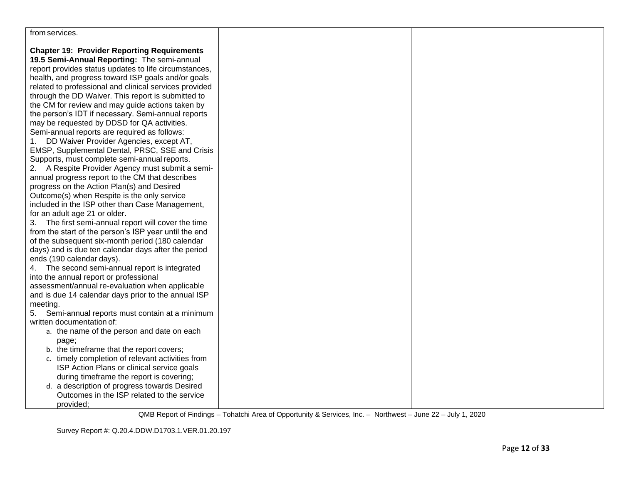| from services. |
|----------------|
|                |

**Chapter 19: Provider Reporting Requirements 19.5 Semi-Annual Reporting:** The semi-annual report provides status updates to life circumstances, health, and progress toward ISP goals and/or goals related to professional and clinical services provided through the DD Waiver. This report is submitted to the CM for review and may guide actions taken by the person's IDT if necessary. Semi-annual reports may be requested by DDSD for QA activities. Semi-annual reports are required as follows: 1. DD Waiver Provider Agencies, except AT, EMSP, Supplemental Dental, PRSC, SSE and Crisis Supports, must complete semi-annual reports.

2. A Respite Provider Agency must submit a semiannual progress report to the CM that describes progress on the Action Plan(s) and Desired Outcome(s) when Respite is the only service included in the ISP other than Case Management, for an adult age 21 or older.

3. The first semi-annual report will cover the time from the start of the person's ISP year until the end of the subsequent six-month period (180 calendar days) and is due ten calendar days after the period ends (190 calendar days).

4. The second semi-annual report is integrated into the annual report or professional

assessment/annual re-evaluation when applicable and is due 14 calendar days prior to the annual ISP meeting.

5. Semi-annual reports must contain at a minimum written documentation of:

- a. the name of the person and date on each page;
- b. the timeframe that the report covers;
- c. timely completion of relevant activities from ISP Action Plans or clinical service goals during timeframe the report is covering;
- d. a description of progress towards Desired Outcomes in the ISP related to the service provided;

QMB Report of Findings – Tohatchi Area of Opportunity & Services, Inc. – Northwest – June 22 – July 1, 2020

Survey Report #: Q.20.4.DDW.D1703.1.VER.01.20.197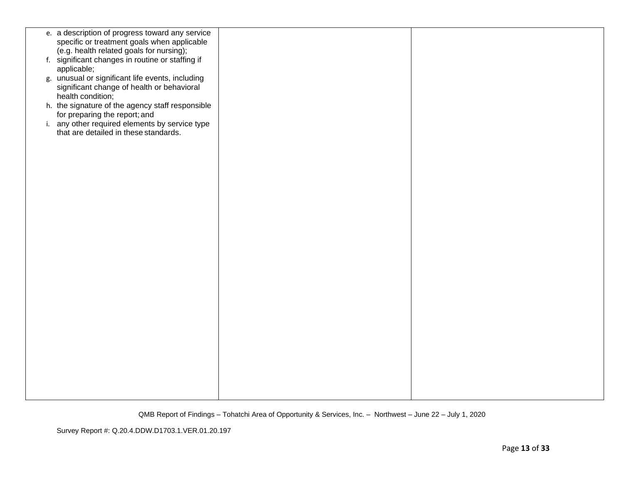| e. a description of progress toward any service<br>specific or treatment goals when applicable |  |
|------------------------------------------------------------------------------------------------|--|
| (e.g. health related goals for nursing);                                                       |  |
| f. significant changes in routine or staffing if                                               |  |
| applicable;                                                                                    |  |
| g. unusual or significant life events, including                                               |  |
| significant change of health or behavioral                                                     |  |
| health condition;                                                                              |  |
| h. the signature of the agency staff responsible                                               |  |
| for preparing the report; and<br>i. any other required elements by service type                |  |
| that are detailed in these standards.                                                          |  |
|                                                                                                |  |
|                                                                                                |  |
|                                                                                                |  |
|                                                                                                |  |
|                                                                                                |  |
|                                                                                                |  |
|                                                                                                |  |
|                                                                                                |  |
|                                                                                                |  |
|                                                                                                |  |
|                                                                                                |  |
|                                                                                                |  |
|                                                                                                |  |
|                                                                                                |  |
|                                                                                                |  |
|                                                                                                |  |
|                                                                                                |  |
|                                                                                                |  |
|                                                                                                |  |
|                                                                                                |  |
|                                                                                                |  |
|                                                                                                |  |
|                                                                                                |  |
|                                                                                                |  |
|                                                                                                |  |
|                                                                                                |  |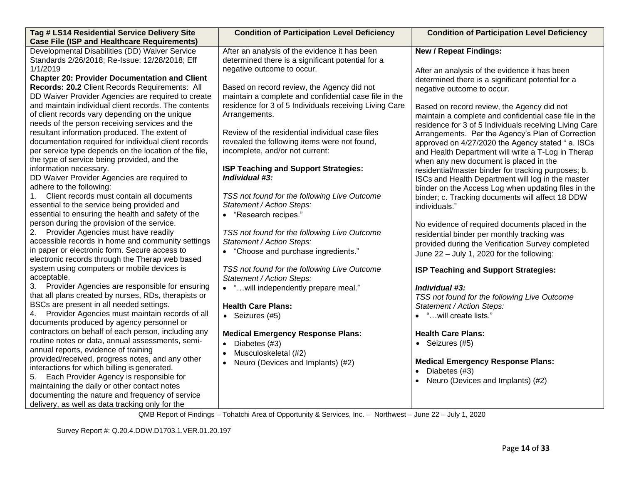| <b>Condition of Participation Level Deficiency</b> | <b>Condition of Participation Level Deficiency</b>                                                                                                                                                                                                                                                                                                                                                                                                                                                                                                                                                                                                                                                                                                                                                                                                                                                                                                                                                                                                        |
|----------------------------------------------------|-----------------------------------------------------------------------------------------------------------------------------------------------------------------------------------------------------------------------------------------------------------------------------------------------------------------------------------------------------------------------------------------------------------------------------------------------------------------------------------------------------------------------------------------------------------------------------------------------------------------------------------------------------------------------------------------------------------------------------------------------------------------------------------------------------------------------------------------------------------------------------------------------------------------------------------------------------------------------------------------------------------------------------------------------------------|
|                                                    |                                                                                                                                                                                                                                                                                                                                                                                                                                                                                                                                                                                                                                                                                                                                                                                                                                                                                                                                                                                                                                                           |
|                                                    | <b>New / Repeat Findings:</b>                                                                                                                                                                                                                                                                                                                                                                                                                                                                                                                                                                                                                                                                                                                                                                                                                                                                                                                                                                                                                             |
|                                                    |                                                                                                                                                                                                                                                                                                                                                                                                                                                                                                                                                                                                                                                                                                                                                                                                                                                                                                                                                                                                                                                           |
|                                                    | After an analysis of the evidence it has been                                                                                                                                                                                                                                                                                                                                                                                                                                                                                                                                                                                                                                                                                                                                                                                                                                                                                                                                                                                                             |
|                                                    | determined there is a significant potential for a                                                                                                                                                                                                                                                                                                                                                                                                                                                                                                                                                                                                                                                                                                                                                                                                                                                                                                                                                                                                         |
|                                                    | negative outcome to occur.                                                                                                                                                                                                                                                                                                                                                                                                                                                                                                                                                                                                                                                                                                                                                                                                                                                                                                                                                                                                                                |
|                                                    |                                                                                                                                                                                                                                                                                                                                                                                                                                                                                                                                                                                                                                                                                                                                                                                                                                                                                                                                                                                                                                                           |
|                                                    | Based on record review, the Agency did not                                                                                                                                                                                                                                                                                                                                                                                                                                                                                                                                                                                                                                                                                                                                                                                                                                                                                                                                                                                                                |
|                                                    | maintain a complete and confidential case file in the                                                                                                                                                                                                                                                                                                                                                                                                                                                                                                                                                                                                                                                                                                                                                                                                                                                                                                                                                                                                     |
|                                                    | residence for 3 of 5 Individuals receiving Living Care                                                                                                                                                                                                                                                                                                                                                                                                                                                                                                                                                                                                                                                                                                                                                                                                                                                                                                                                                                                                    |
|                                                    | Arrangements. Per the Agency's Plan of Correction                                                                                                                                                                                                                                                                                                                                                                                                                                                                                                                                                                                                                                                                                                                                                                                                                                                                                                                                                                                                         |
|                                                    | approved on 4/27/2020 the Agency stated "a. ISCs                                                                                                                                                                                                                                                                                                                                                                                                                                                                                                                                                                                                                                                                                                                                                                                                                                                                                                                                                                                                          |
|                                                    | and Health Department will write a T-Log in Therap                                                                                                                                                                                                                                                                                                                                                                                                                                                                                                                                                                                                                                                                                                                                                                                                                                                                                                                                                                                                        |
|                                                    | when any new document is placed in the                                                                                                                                                                                                                                                                                                                                                                                                                                                                                                                                                                                                                                                                                                                                                                                                                                                                                                                                                                                                                    |
|                                                    | residential/master binder for tracking purposes; b.                                                                                                                                                                                                                                                                                                                                                                                                                                                                                                                                                                                                                                                                                                                                                                                                                                                                                                                                                                                                       |
|                                                    | ISCs and Health Department will log in the master                                                                                                                                                                                                                                                                                                                                                                                                                                                                                                                                                                                                                                                                                                                                                                                                                                                                                                                                                                                                         |
|                                                    | binder on the Access Log when updating files in the                                                                                                                                                                                                                                                                                                                                                                                                                                                                                                                                                                                                                                                                                                                                                                                                                                                                                                                                                                                                       |
|                                                    | binder; c. Tracking documents will affect 18 DDW                                                                                                                                                                                                                                                                                                                                                                                                                                                                                                                                                                                                                                                                                                                                                                                                                                                                                                                                                                                                          |
|                                                    | individuals."                                                                                                                                                                                                                                                                                                                                                                                                                                                                                                                                                                                                                                                                                                                                                                                                                                                                                                                                                                                                                                             |
|                                                    |                                                                                                                                                                                                                                                                                                                                                                                                                                                                                                                                                                                                                                                                                                                                                                                                                                                                                                                                                                                                                                                           |
|                                                    | No evidence of required documents placed in the                                                                                                                                                                                                                                                                                                                                                                                                                                                                                                                                                                                                                                                                                                                                                                                                                                                                                                                                                                                                           |
|                                                    | residential binder per monthly tracking was                                                                                                                                                                                                                                                                                                                                                                                                                                                                                                                                                                                                                                                                                                                                                                                                                                                                                                                                                                                                               |
|                                                    | provided during the Verification Survey completed                                                                                                                                                                                                                                                                                                                                                                                                                                                                                                                                                                                                                                                                                                                                                                                                                                                                                                                                                                                                         |
|                                                    | June 22 - July 1, 2020 for the following:                                                                                                                                                                                                                                                                                                                                                                                                                                                                                                                                                                                                                                                                                                                                                                                                                                                                                                                                                                                                                 |
|                                                    |                                                                                                                                                                                                                                                                                                                                                                                                                                                                                                                                                                                                                                                                                                                                                                                                                                                                                                                                                                                                                                                           |
|                                                    | ISP Teaching and Support Strategies:                                                                                                                                                                                                                                                                                                                                                                                                                                                                                                                                                                                                                                                                                                                                                                                                                                                                                                                                                                                                                      |
|                                                    |                                                                                                                                                                                                                                                                                                                                                                                                                                                                                                                                                                                                                                                                                                                                                                                                                                                                                                                                                                                                                                                           |
|                                                    | Individual #3:                                                                                                                                                                                                                                                                                                                                                                                                                                                                                                                                                                                                                                                                                                                                                                                                                                                                                                                                                                                                                                            |
|                                                    | TSS not found for the following Live Outcome                                                                                                                                                                                                                                                                                                                                                                                                                                                                                                                                                                                                                                                                                                                                                                                                                                                                                                                                                                                                              |
|                                                    | Statement / Action Steps:                                                                                                                                                                                                                                                                                                                                                                                                                                                                                                                                                                                                                                                                                                                                                                                                                                                                                                                                                                                                                                 |
|                                                    | • "will create lists."                                                                                                                                                                                                                                                                                                                                                                                                                                                                                                                                                                                                                                                                                                                                                                                                                                                                                                                                                                                                                                    |
|                                                    |                                                                                                                                                                                                                                                                                                                                                                                                                                                                                                                                                                                                                                                                                                                                                                                                                                                                                                                                                                                                                                                           |
|                                                    | <b>Health Care Plans:</b>                                                                                                                                                                                                                                                                                                                                                                                                                                                                                                                                                                                                                                                                                                                                                                                                                                                                                                                                                                                                                                 |
|                                                    | • Seizures $(#5)$                                                                                                                                                                                                                                                                                                                                                                                                                                                                                                                                                                                                                                                                                                                                                                                                                                                                                                                                                                                                                                         |
|                                                    |                                                                                                                                                                                                                                                                                                                                                                                                                                                                                                                                                                                                                                                                                                                                                                                                                                                                                                                                                                                                                                                           |
| $\bullet$                                          | <b>Medical Emergency Response Plans:</b>                                                                                                                                                                                                                                                                                                                                                                                                                                                                                                                                                                                                                                                                                                                                                                                                                                                                                                                                                                                                                  |
|                                                    | Diabetes (#3)                                                                                                                                                                                                                                                                                                                                                                                                                                                                                                                                                                                                                                                                                                                                                                                                                                                                                                                                                                                                                                             |
|                                                    | Neuro (Devices and Implants) (#2)                                                                                                                                                                                                                                                                                                                                                                                                                                                                                                                                                                                                                                                                                                                                                                                                                                                                                                                                                                                                                         |
|                                                    |                                                                                                                                                                                                                                                                                                                                                                                                                                                                                                                                                                                                                                                                                                                                                                                                                                                                                                                                                                                                                                                           |
|                                                    |                                                                                                                                                                                                                                                                                                                                                                                                                                                                                                                                                                                                                                                                                                                                                                                                                                                                                                                                                                                                                                                           |
|                                                    | After an analysis of the evidence it has been<br>determined there is a significant potential for a<br>negative outcome to occur.<br>Based on record review, the Agency did not<br>maintain a complete and confidential case file in the<br>residence for 3 of 5 Individuals receiving Living Care<br>Arrangements.<br>Review of the residential individual case files<br>revealed the following items were not found,<br>incomplete, and/or not current:<br>ISP Teaching and Support Strategies:<br>Individual #3:<br>TSS not found for the following Live Outcome<br>Statement / Action Steps:<br>• "Research recipes."<br>TSS not found for the following Live Outcome<br>Statement / Action Steps:<br>• "Choose and purchase ingredients."<br>TSS not found for the following Live Outcome<br>Statement / Action Steps:<br>• "will independently prepare meal."<br><b>Health Care Plans:</b><br>• Seizures (#5)<br><b>Medical Emergency Response Plans:</b><br>Diabetes (#3)<br>Musculoskeletal (#2)<br>$\bullet$<br>Neuro (Devices and Implants) (#2) |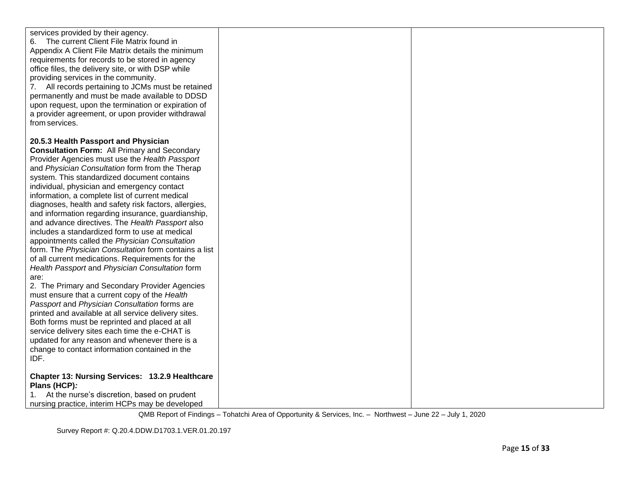| services provided by their agency.<br>The current Client File Matrix found in<br>6.<br>Appendix A Client File Matrix details the minimum<br>requirements for records to be stored in agency<br>office files, the delivery site, or with DSP while<br>providing services in the community.<br>All records pertaining to JCMs must be retained<br>7.<br>permanently and must be made available to DDSD<br>upon request, upon the termination or expiration of<br>a provider agreement, or upon provider withdrawal<br>from services. |  |
|------------------------------------------------------------------------------------------------------------------------------------------------------------------------------------------------------------------------------------------------------------------------------------------------------------------------------------------------------------------------------------------------------------------------------------------------------------------------------------------------------------------------------------|--|
| 20.5.3 Health Passport and Physician<br><b>Consultation Form: All Primary and Secondary</b><br>Provider Agencies must use the Health Passport<br>and Physician Consultation form from the Therap<br>system. This standardized document contains<br>individual, physician and emergency contact                                                                                                                                                                                                                                     |  |
| information, a complete list of current medical<br>diagnoses, health and safety risk factors, allergies,<br>and information regarding insurance, guardianship,<br>and advance directives. The Health Passport also<br>includes a standardized form to use at medical<br>appointments called the Physician Consultation<br>form. The Physician Consultation form contains a list<br>of all current medications. Requirements for the                                                                                                |  |
| Health Passport and Physician Consultation form<br>are:<br>2. The Primary and Secondary Provider Agencies<br>must ensure that a current copy of the Health<br>Passport and Physician Consultation forms are<br>printed and available at all service delivery sites.<br>Both forms must be reprinted and placed at all<br>service delivery sites each time the e-CHAT is<br>updated for any reason and whenever there is a<br>change to contact information contained in the<br>IDF.                                                |  |
| Chapter 13: Nursing Services: 13.2.9 Healthcare<br>Plans (HCP):<br>At the nurse's discretion, based on prudent<br>nursing practice, interim HCPs may be developed                                                                                                                                                                                                                                                                                                                                                                  |  |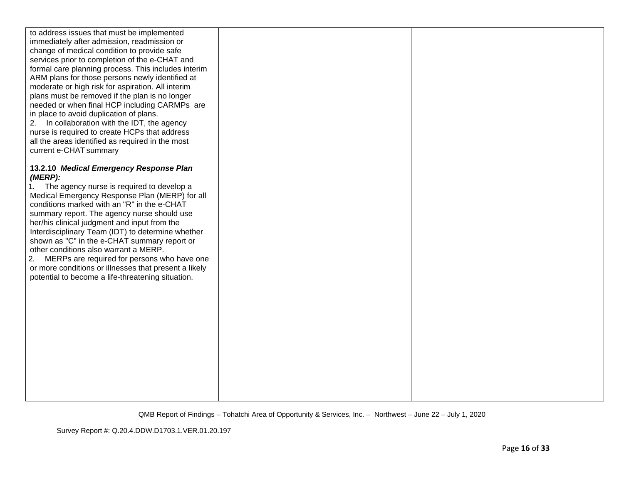| to address issues that must be implemented<br>immediately after admission, readmission or<br>change of medical condition to provide safe<br>services prior to completion of the e-CHAT and<br>formal care planning process. This includes interim<br>ARM plans for those persons newly identified at<br>moderate or high risk for aspiration. All interim<br>plans must be removed if the plan is no longer<br>needed or when final HCP including CARMPs are<br>in place to avoid duplication of plans.<br>2. In collaboration with the IDT, the agency<br>nurse is required to create HCPs that address<br>all the areas identified as required in the most<br>current e-CHAT summary |  |
|----------------------------------------------------------------------------------------------------------------------------------------------------------------------------------------------------------------------------------------------------------------------------------------------------------------------------------------------------------------------------------------------------------------------------------------------------------------------------------------------------------------------------------------------------------------------------------------------------------------------------------------------------------------------------------------|--|
| 13.2.10 Medical Emergency Response Plan<br>(MERP):<br>The agency nurse is required to develop a<br>1.<br>Medical Emergency Response Plan (MERP) for all<br>conditions marked with an "R" in the e-CHAT<br>summary report. The agency nurse should use<br>her/his clinical judgment and input from the<br>Interdisciplinary Team (IDT) to determine whether<br>shown as "C" in the e-CHAT summary report or<br>other conditions also warrant a MERP.<br>MERPs are required for persons who have one<br>2.<br>or more conditions or illnesses that present a likely<br>potential to become a life-threatening situation.                                                                 |  |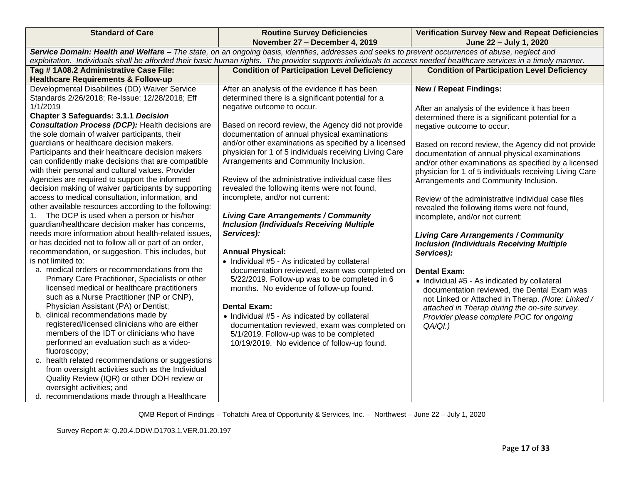| <b>Standard of Care</b>                                                                         | <b>Routine Survey Deficiencies</b>                                                                                                                               | <b>Verification Survey New and Repeat Deficiencies</b> |  |
|-------------------------------------------------------------------------------------------------|------------------------------------------------------------------------------------------------------------------------------------------------------------------|--------------------------------------------------------|--|
|                                                                                                 | November 27 - December 4, 2019                                                                                                                                   | June 22 - July 1, 2020                                 |  |
|                                                                                                 | Service Domain: Health and Welfare - The state, on an ongoing basis, identifies, addresses and seeks to prevent occurrences of abuse, neglect and                |                                                        |  |
|                                                                                                 | exploitation. Individuals shall be afforded their basic human rights. The provider supports individuals to access needed healthcare services in a timely manner. |                                                        |  |
| Tag #1A08.2 Administrative Case File:                                                           | <b>Condition of Participation Level Deficiency</b>                                                                                                               | <b>Condition of Participation Level Deficiency</b>     |  |
| <b>Healthcare Requirements &amp; Follow-up</b>                                                  |                                                                                                                                                                  |                                                        |  |
| Developmental Disabilities (DD) Waiver Service                                                  | After an analysis of the evidence it has been                                                                                                                    | <b>New / Repeat Findings:</b>                          |  |
| Standards 2/26/2018; Re-Issue: 12/28/2018; Eff                                                  | determined there is a significant potential for a                                                                                                                |                                                        |  |
| 1/1/2019                                                                                        | negative outcome to occur.                                                                                                                                       | After an analysis of the evidence it has been          |  |
| <b>Chapter 3 Safeguards: 3.1.1 Decision</b>                                                     |                                                                                                                                                                  | determined there is a significant potential for a      |  |
| <b>Consultation Process (DCP):</b> Health decisions are                                         | Based on record review, the Agency did not provide                                                                                                               | negative outcome to occur.                             |  |
| the sole domain of waiver participants, their                                                   | documentation of annual physical examinations                                                                                                                    |                                                        |  |
| guardians or healthcare decision makers.                                                        | and/or other examinations as specified by a licensed                                                                                                             | Based on record review, the Agency did not provide     |  |
| Participants and their healthcare decision makers                                               | physician for 1 of 5 individuals receiving Living Care                                                                                                           | documentation of annual physical examinations          |  |
| can confidently make decisions that are compatible                                              | Arrangements and Community Inclusion.                                                                                                                            | and/or other examinations as specified by a licensed   |  |
| with their personal and cultural values. Provider                                               |                                                                                                                                                                  | physician for 1 of 5 individuals receiving Living Care |  |
| Agencies are required to support the informed                                                   | Review of the administrative individual case files                                                                                                               | Arrangements and Community Inclusion.                  |  |
| decision making of waiver participants by supporting                                            | revealed the following items were not found,                                                                                                                     |                                                        |  |
| access to medical consultation, information, and                                                | incomplete, and/or not current:                                                                                                                                  | Review of the administrative individual case files     |  |
| other available resources according to the following:                                           |                                                                                                                                                                  | revealed the following items were not found,           |  |
| The DCP is used when a person or his/her<br>1.                                                  | <b>Living Care Arrangements / Community</b>                                                                                                                      | incomplete, and/or not current:                        |  |
| guardian/healthcare decision maker has concerns,                                                | <b>Inclusion (Individuals Receiving Multiple</b>                                                                                                                 |                                                        |  |
| needs more information about health-related issues.                                             | Services):                                                                                                                                                       | <b>Living Care Arrangements / Community</b>            |  |
| or has decided not to follow all or part of an order,                                           |                                                                                                                                                                  | <b>Inclusion (Individuals Receiving Multiple</b>       |  |
| recommendation, or suggestion. This includes, but<br>is not limited to:                         | <b>Annual Physical:</b>                                                                                                                                          | Services):                                             |  |
| a. medical orders or recommendations from the                                                   | • Individual #5 - As indicated by collateral                                                                                                                     |                                                        |  |
|                                                                                                 | documentation reviewed, exam was completed on                                                                                                                    | <b>Dental Exam:</b>                                    |  |
| Primary Care Practitioner, Specialists or other<br>licensed medical or healthcare practitioners | 5/22/2019. Follow-up was to be completed in 6                                                                                                                    | • Individual #5 - As indicated by collateral           |  |
| such as a Nurse Practitioner (NP or CNP),                                                       | months. No evidence of follow-up found.                                                                                                                          | documentation reviewed, the Dental Exam was            |  |
| Physician Assistant (PA) or Dentist;                                                            | <b>Dental Exam:</b>                                                                                                                                              | not Linked or Attached in Therap. (Note: Linked /      |  |
| b. clinical recommendations made by                                                             |                                                                                                                                                                  | attached in Therap during the on-site survey.          |  |
| registered/licensed clinicians who are either                                                   | • Individual #5 - As indicated by collateral                                                                                                                     | Provider please complete POC for ongoing               |  |
| members of the IDT or clinicians who have                                                       | documentation reviewed, exam was completed on                                                                                                                    | $QA/QI.$ )                                             |  |
| performed an evaluation such as a video-                                                        | 5/1/2019. Follow-up was to be completed                                                                                                                          |                                                        |  |
| fluoroscopy;                                                                                    | 10/19/2019. No evidence of follow-up found.                                                                                                                      |                                                        |  |
| c. health related recommendations or suggestions                                                |                                                                                                                                                                  |                                                        |  |
| from oversight activities such as the Individual                                                |                                                                                                                                                                  |                                                        |  |
| Quality Review (IQR) or other DOH review or                                                     |                                                                                                                                                                  |                                                        |  |
| oversight activities; and                                                                       |                                                                                                                                                                  |                                                        |  |
| d. recommendations made through a Healthcare                                                    |                                                                                                                                                                  |                                                        |  |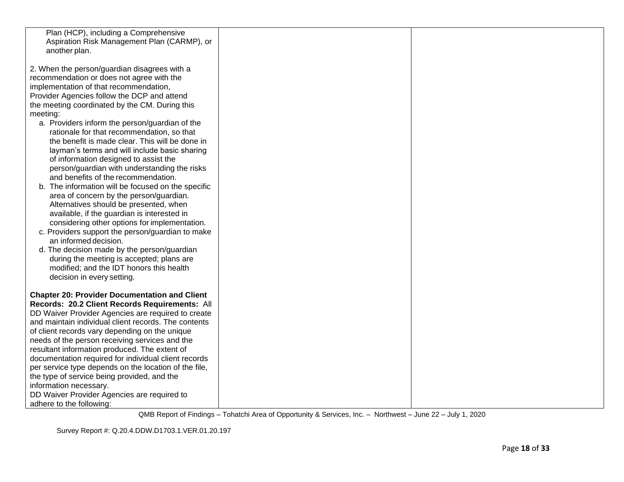| Plan (HCP), including a Comprehensive                 |  |
|-------------------------------------------------------|--|
| Aspiration Risk Management Plan (CARMP), or           |  |
| another plan.                                         |  |
|                                                       |  |
| 2. When the person/guardian disagrees with a          |  |
| recommendation or does not agree with the             |  |
| implementation of that recommendation,                |  |
| Provider Agencies follow the DCP and attend           |  |
| the meeting coordinated by the CM. During this        |  |
| meeting:                                              |  |
| a. Providers inform the person/guardian of the        |  |
| rationale for that recommendation, so that            |  |
| the benefit is made clear. This will be done in       |  |
| layman's terms and will include basic sharing         |  |
| of information designed to assist the                 |  |
| person/guardian with understanding the risks          |  |
| and benefits of the recommendation.                   |  |
| b. The information will be focused on the specific    |  |
| area of concern by the person/guardian.               |  |
| Alternatives should be presented, when                |  |
| available, if the guardian is interested in           |  |
| considering other options for implementation.         |  |
| c. Providers support the person/guardian to make      |  |
| an informed decision.                                 |  |
| d. The decision made by the person/guardian           |  |
| during the meeting is accepted; plans are             |  |
| modified; and the IDT honors this health              |  |
| decision in every setting.                            |  |
|                                                       |  |
| <b>Chapter 20: Provider Documentation and Client</b>  |  |
| Records: 20.2 Client Records Requirements: All        |  |
| DD Waiver Provider Agencies are required to create    |  |
| and maintain individual client records. The contents  |  |
| of client records vary depending on the unique        |  |
| needs of the person receiving services and the        |  |
| resultant information produced. The extent of         |  |
| documentation required for individual client records  |  |
| per service type depends on the location of the file, |  |
| the type of service being provided, and the           |  |
| information necessary.                                |  |
| DD Waiver Provider Agencies are required to           |  |
| adhere to the following:                              |  |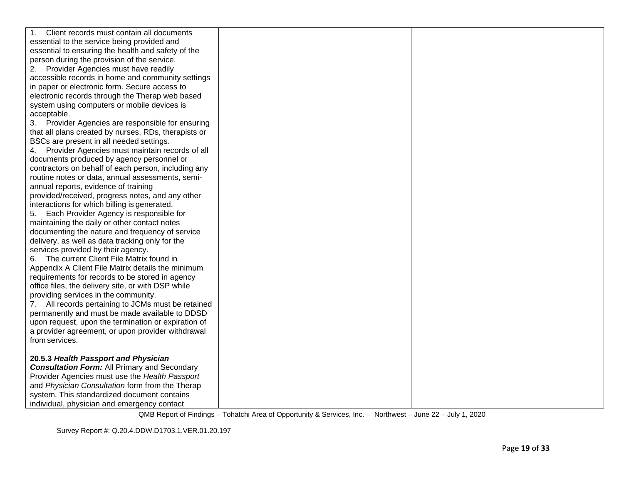| Client records must contain all documents<br>1.       |  |
|-------------------------------------------------------|--|
| essential to the service being provided and           |  |
| essential to ensuring the health and safety of the    |  |
| person during the provision of the service.           |  |
| Provider Agencies must have readily<br>2.             |  |
| accessible records in home and community settings     |  |
| in paper or electronic form. Secure access to         |  |
| electronic records through the Therap web based       |  |
| system using computers or mobile devices is           |  |
| acceptable.                                           |  |
| 3. Provider Agencies are responsible for ensuring     |  |
| that all plans created by nurses, RDs, therapists or  |  |
| BSCs are present in all needed settings.              |  |
| Provider Agencies must maintain records of all<br>4.  |  |
| documents produced by agency personnel or             |  |
| contractors on behalf of each person, including any   |  |
| routine notes or data, annual assessments, semi-      |  |
| annual reports, evidence of training                  |  |
| provided/received, progress notes, and any other      |  |
| interactions for which billing is generated.          |  |
| 5. Each Provider Agency is responsible for            |  |
| maintaining the daily or other contact notes          |  |
| documenting the nature and frequency of service       |  |
| delivery, as well as data tracking only for the       |  |
| services provided by their agency.                    |  |
| 6. The current Client File Matrix found in            |  |
| Appendix A Client File Matrix details the minimum     |  |
| requirements for records to be stored in agency       |  |
| office files, the delivery site, or with DSP while    |  |
| providing services in the community.                  |  |
| All records pertaining to JCMs must be retained<br>7. |  |
| permanently and must be made available to DDSD        |  |
| upon request, upon the termination or expiration of   |  |
| a provider agreement, or upon provider withdrawal     |  |
| from services.                                        |  |
|                                                       |  |
| 20.5.3 Health Passport and Physician                  |  |
| <b>Consultation Form:</b> All Primary and Secondary   |  |
| Provider Agencies must use the Health Passport        |  |
| and Physician Consultation form from the Therap       |  |
| system. This standardized document contains           |  |
| individual, physician and emergency contact           |  |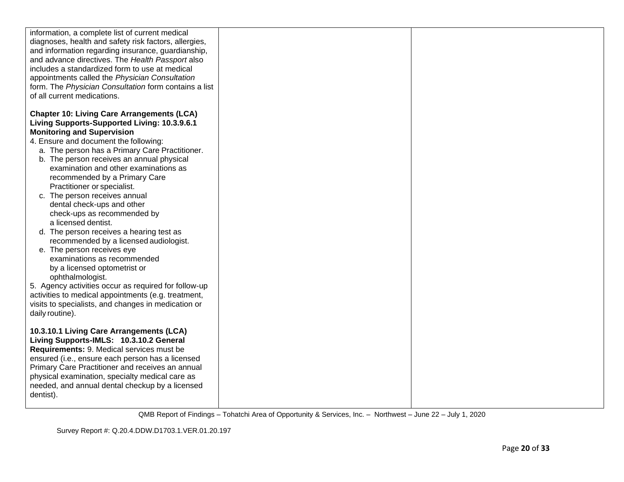| information, a complete list of current medical<br>diagnoses, health and safety risk factors, allergies,<br>and information regarding insurance, guardianship,<br>and advance directives. The Health Passport also<br>includes a standardized form to use at medical<br>appointments called the Physician Consultation<br>form. The Physician Consultation form contains a list<br>of all current medications.                                                                                                                                                                                                                                                  |  |
|-----------------------------------------------------------------------------------------------------------------------------------------------------------------------------------------------------------------------------------------------------------------------------------------------------------------------------------------------------------------------------------------------------------------------------------------------------------------------------------------------------------------------------------------------------------------------------------------------------------------------------------------------------------------|--|
| <b>Chapter 10: Living Care Arrangements (LCA)</b><br>Living Supports-Supported Living: 10.3.9.6.1<br><b>Monitoring and Supervision</b><br>4. Ensure and document the following:<br>a. The person has a Primary Care Practitioner.<br>b. The person receives an annual physical<br>examination and other examinations as<br>recommended by a Primary Care<br>Practitioner or specialist.<br>c. The person receives annual<br>dental check-ups and other<br>check-ups as recommended by<br>a licensed dentist.<br>d. The person receives a hearing test as<br>recommended by a licensed audiologist.<br>e. The person receives eye<br>examinations as recommended |  |
| by a licensed optometrist or<br>ophthalmologist.<br>5. Agency activities occur as required for follow-up<br>activities to medical appointments (e.g. treatment,<br>visits to specialists, and changes in medication or<br>daily routine).<br>10.3.10.1 Living Care Arrangements (LCA)<br>Living Supports-IMLS: 10.3.10.2 General<br>Requirements: 9. Medical services must be<br>ensured (i.e., ensure each person has a licensed<br>Primary Care Practitioner and receives an annual<br>physical examination, specialty medical care as<br>needed, and annual dental checkup by a licensed<br>dentist).                                                        |  |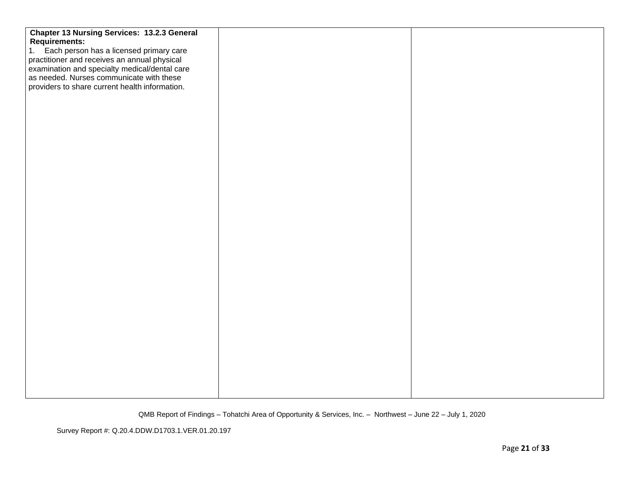| <b>Chapter 13 Nursing Services: 13.2.3 General</b> |  |
|----------------------------------------------------|--|
|                                                    |  |
| <b>Requirements:</b>                               |  |
| 1. Each person has a licensed primary care         |  |
| practitioner and receives an annual physical       |  |
| examination and specialty medical/dental care      |  |
| as needed. Nurses communicate with these           |  |
| providers to share current health information.     |  |
|                                                    |  |
|                                                    |  |
|                                                    |  |
|                                                    |  |
|                                                    |  |
|                                                    |  |
|                                                    |  |
|                                                    |  |
|                                                    |  |
|                                                    |  |
|                                                    |  |
|                                                    |  |
|                                                    |  |
|                                                    |  |
|                                                    |  |
|                                                    |  |
|                                                    |  |
|                                                    |  |
|                                                    |  |
|                                                    |  |
|                                                    |  |
|                                                    |  |
|                                                    |  |
|                                                    |  |
|                                                    |  |
|                                                    |  |
|                                                    |  |
|                                                    |  |
|                                                    |  |
|                                                    |  |
|                                                    |  |
|                                                    |  |
|                                                    |  |
|                                                    |  |
|                                                    |  |
|                                                    |  |
|                                                    |  |

Survey Report #: Q.20.4.DDW.D1703.1.VER.01.20.197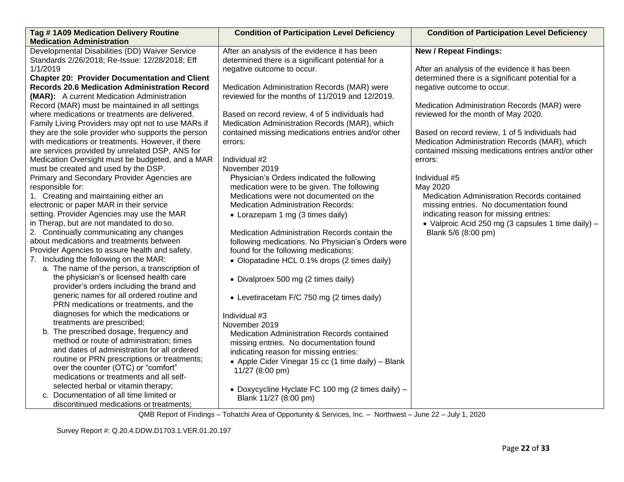| Developmental Disabilities (DD) Waiver Service<br><b>New / Repeat Findings:</b><br>After an analysis of the evidence it has been<br>Standards 2/26/2018; Re-Issue: 12/28/2018; Eff<br>determined there is a significant potential for a<br>1/1/2019<br>After an analysis of the evidence it has been<br>negative outcome to occur.<br><b>Chapter 20: Provider Documentation and Client</b><br>determined there is a significant potential for a<br><b>Records 20.6 Medication Administration Record</b><br>Medication Administration Records (MAR) were<br>negative outcome to occur.<br>reviewed for the months of 11/2019 and 12/2019.<br>(MAR): A current Medication Administration | Tag #1A09 Medication Delivery Routine<br><b>Medication Administration</b> | <b>Condition of Participation Level Deficiency</b> | <b>Condition of Participation Level Deficiency</b> |
|----------------------------------------------------------------------------------------------------------------------------------------------------------------------------------------------------------------------------------------------------------------------------------------------------------------------------------------------------------------------------------------------------------------------------------------------------------------------------------------------------------------------------------------------------------------------------------------------------------------------------------------------------------------------------------------|---------------------------------------------------------------------------|----------------------------------------------------|----------------------------------------------------|
|                                                                                                                                                                                                                                                                                                                                                                                                                                                                                                                                                                                                                                                                                        |                                                                           |                                                    |                                                    |
|                                                                                                                                                                                                                                                                                                                                                                                                                                                                                                                                                                                                                                                                                        |                                                                           |                                                    |                                                    |
|                                                                                                                                                                                                                                                                                                                                                                                                                                                                                                                                                                                                                                                                                        |                                                                           |                                                    |                                                    |
|                                                                                                                                                                                                                                                                                                                                                                                                                                                                                                                                                                                                                                                                                        |                                                                           |                                                    |                                                    |
|                                                                                                                                                                                                                                                                                                                                                                                                                                                                                                                                                                                                                                                                                        |                                                                           |                                                    |                                                    |
|                                                                                                                                                                                                                                                                                                                                                                                                                                                                                                                                                                                                                                                                                        |                                                                           |                                                    |                                                    |
|                                                                                                                                                                                                                                                                                                                                                                                                                                                                                                                                                                                                                                                                                        | Record (MAR) must be maintained in all settings                           |                                                    | Medication Administration Records (MAR) were       |
| where medications or treatments are delivered.<br>reviewed for the month of May 2020.<br>Based on record review, 4 of 5 individuals had                                                                                                                                                                                                                                                                                                                                                                                                                                                                                                                                                |                                                                           |                                                    |                                                    |
| Medication Administration Records (MAR), which<br>Family Living Providers may opt not to use MARs if                                                                                                                                                                                                                                                                                                                                                                                                                                                                                                                                                                                   |                                                                           |                                                    |                                                    |
| they are the sole provider who supports the person<br>contained missing medications entries and/or other<br>Based on record review, 1 of 5 individuals had                                                                                                                                                                                                                                                                                                                                                                                                                                                                                                                             |                                                                           |                                                    |                                                    |
| with medications or treatments. However, if there<br>Medication Administration Records (MAR), which<br>errors:                                                                                                                                                                                                                                                                                                                                                                                                                                                                                                                                                                         |                                                                           |                                                    |                                                    |
| are services provided by unrelated DSP, ANS for                                                                                                                                                                                                                                                                                                                                                                                                                                                                                                                                                                                                                                        |                                                                           |                                                    | contained missing medications entries and/or other |
| Medication Oversight must be budgeted, and a MAR<br>Individual #2<br>errors:                                                                                                                                                                                                                                                                                                                                                                                                                                                                                                                                                                                                           |                                                                           |                                                    |                                                    |
| must be created and used by the DSP.<br>November 2019                                                                                                                                                                                                                                                                                                                                                                                                                                                                                                                                                                                                                                  |                                                                           |                                                    |                                                    |
| Primary and Secondary Provider Agencies are<br>Individual #5<br>Physician's Orders indicated the following                                                                                                                                                                                                                                                                                                                                                                                                                                                                                                                                                                             |                                                                           |                                                    |                                                    |
| medication were to be given. The following<br>May 2020<br>responsible for:                                                                                                                                                                                                                                                                                                                                                                                                                                                                                                                                                                                                             |                                                                           |                                                    |                                                    |
| 1. Creating and maintaining either an<br>Medications were not documented on the<br>Medication Administration Records contained                                                                                                                                                                                                                                                                                                                                                                                                                                                                                                                                                         |                                                                           |                                                    |                                                    |
| electronic or paper MAR in their service<br><b>Medication Administration Records:</b><br>missing entries. No documentation found                                                                                                                                                                                                                                                                                                                                                                                                                                                                                                                                                       |                                                                           |                                                    |                                                    |
| setting. Provider Agencies may use the MAR<br>• Lorazepam 1 mg (3 times daily)<br>indicating reason for missing entries:                                                                                                                                                                                                                                                                                                                                                                                                                                                                                                                                                               |                                                                           |                                                    |                                                    |
| in Therap, but are not mandated to do so.                                                                                                                                                                                                                                                                                                                                                                                                                                                                                                                                                                                                                                              |                                                                           |                                                    | • Valproic Acid 250 mg (3 capsules 1 time daily) - |
| 2. Continually communicating any changes<br>Medication Administration Records contain the<br>Blank 5/6 (8:00 pm)                                                                                                                                                                                                                                                                                                                                                                                                                                                                                                                                                                       |                                                                           |                                                    |                                                    |
| about medications and treatments between<br>following medications. No Physician's Orders were                                                                                                                                                                                                                                                                                                                                                                                                                                                                                                                                                                                          |                                                                           |                                                    |                                                    |
| Provider Agencies to assure health and safety.<br>found for the following medications:                                                                                                                                                                                                                                                                                                                                                                                                                                                                                                                                                                                                 |                                                                           |                                                    |                                                    |
| 7. Including the following on the MAR:<br>• Olopatadine HCL 0.1% drops (2 times daily)                                                                                                                                                                                                                                                                                                                                                                                                                                                                                                                                                                                                 |                                                                           |                                                    |                                                    |
| a. The name of the person, a transcription of                                                                                                                                                                                                                                                                                                                                                                                                                                                                                                                                                                                                                                          |                                                                           |                                                    |                                                    |
| the physician's or licensed health care<br>• Divalproex 500 mg (2 times daily)                                                                                                                                                                                                                                                                                                                                                                                                                                                                                                                                                                                                         |                                                                           |                                                    |                                                    |
| provider's orders including the brand and                                                                                                                                                                                                                                                                                                                                                                                                                                                                                                                                                                                                                                              |                                                                           |                                                    |                                                    |
| generic names for all ordered routine and<br>• Levetiracetam F/C 750 mg (2 times daily)                                                                                                                                                                                                                                                                                                                                                                                                                                                                                                                                                                                                |                                                                           |                                                    |                                                    |
| PRN medications or treatments, and the                                                                                                                                                                                                                                                                                                                                                                                                                                                                                                                                                                                                                                                 |                                                                           |                                                    |                                                    |
| diagnoses for which the medications or<br>Individual #3                                                                                                                                                                                                                                                                                                                                                                                                                                                                                                                                                                                                                                |                                                                           |                                                    |                                                    |
| treatments are prescribed;<br>November 2019                                                                                                                                                                                                                                                                                                                                                                                                                                                                                                                                                                                                                                            |                                                                           |                                                    |                                                    |
| b. The prescribed dosage, frequency and<br>Medication Administration Records contained                                                                                                                                                                                                                                                                                                                                                                                                                                                                                                                                                                                                 |                                                                           |                                                    |                                                    |
| method or route of administration; times<br>missing entries. No documentation found                                                                                                                                                                                                                                                                                                                                                                                                                                                                                                                                                                                                    |                                                                           |                                                    |                                                    |
| and dates of administration for all ordered<br>indicating reason for missing entries:                                                                                                                                                                                                                                                                                                                                                                                                                                                                                                                                                                                                  |                                                                           |                                                    |                                                    |
| routine or PRN prescriptions or treatments;<br>• Apple Cider Vinegar 15 cc (1 time daily) - Blank                                                                                                                                                                                                                                                                                                                                                                                                                                                                                                                                                                                      |                                                                           |                                                    |                                                    |
| over the counter (OTC) or "comfort"<br>11/27 (8:00 pm)                                                                                                                                                                                                                                                                                                                                                                                                                                                                                                                                                                                                                                 |                                                                           |                                                    |                                                    |
| medications or treatments and all self-                                                                                                                                                                                                                                                                                                                                                                                                                                                                                                                                                                                                                                                |                                                                           |                                                    |                                                    |
| selected herbal or vitamin therapy;<br>• Doxycycline Hyclate FC 100 mg (2 times daily) -                                                                                                                                                                                                                                                                                                                                                                                                                                                                                                                                                                                               |                                                                           |                                                    |                                                    |
| c. Documentation of all time limited or<br>Blank 11/27 (8:00 pm)<br>discontinued medications or treatments;                                                                                                                                                                                                                                                                                                                                                                                                                                                                                                                                                                            |                                                                           |                                                    |                                                    |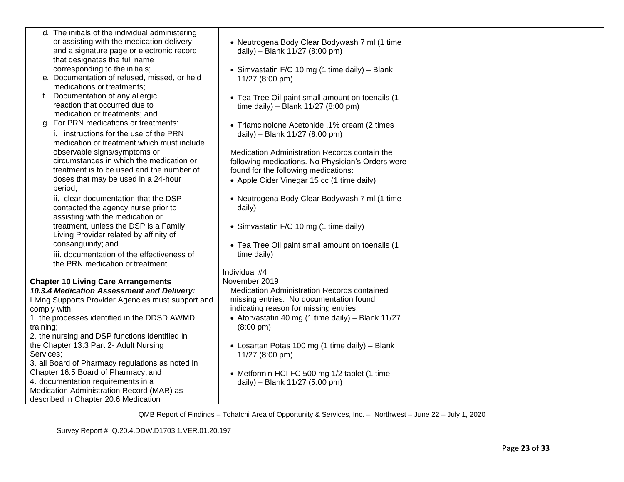|              | d. The initials of the individual administering    |                                                    |
|--------------|----------------------------------------------------|----------------------------------------------------|
|              | or assisting with the medication delivery          | • Neutrogena Body Clear Bodywash 7 ml (1 time      |
|              | and a signature page or electronic record          | daily) - Blank 11/27 (8:00 pm)                     |
|              | that designates the full name                      |                                                    |
|              | corresponding to the initials;                     | • Simvastatin F/C 10 mg (1 time daily) - Blank     |
|              | e. Documentation of refused, missed, or held       | 11/27 (8:00 pm)                                    |
|              | medications or treatments;                         |                                                    |
|              | f. Documentation of any allergic                   | • Tea Tree Oil paint small amount on toenails (1   |
|              | reaction that occurred due to                      | time daily) - Blank $11/27$ (8:00 pm)              |
|              | medication or treatments; and                      |                                                    |
|              | g. For PRN medications or treatments:              | • Triamcinolone Acetonide .1% cream (2 times       |
|              | i. instructions for the use of the PRN             | daily) - Blank 11/27 (8:00 pm)                     |
|              | medication or treatment which must include         |                                                    |
|              | observable signs/symptoms or                       | Medication Administration Records contain the      |
|              | circumstances in which the medication or           | following medications. No Physician's Orders were  |
|              | treatment is to be used and the number of          | found for the following medications:               |
|              | doses that may be used in a 24-hour                | • Apple Cider Vinegar 15 cc (1 time daily)         |
| period;      |                                                    |                                                    |
|              | ii. clear documentation that the DSP               | • Neutrogena Body Clear Bodywash 7 ml (1 time      |
|              | contacted the agency nurse prior to                | daily)                                             |
|              | assisting with the medication or                   |                                                    |
|              | treatment, unless the DSP is a Family              | • Simvastatin F/C 10 mg (1 time daily)             |
|              | Living Provider related by affinity of             |                                                    |
|              | consanguinity; and                                 | • Tea Tree Oil paint small amount on toenails (1   |
|              | iii. documentation of the effectiveness of         | time daily)                                        |
|              | the PRN medication or treatment.                   |                                                    |
|              |                                                    | Individual #4                                      |
|              | <b>Chapter 10 Living Care Arrangements</b>         | November 2019                                      |
|              | 10.3.4 Medication Assessment and Delivery:         | <b>Medication Administration Records contained</b> |
|              | Living Supports Provider Agencies must support and | missing entries. No documentation found            |
| comply with: |                                                    | indicating reason for missing entries:             |
|              | 1. the processes identified in the DDSD AWMD       | • Atorvastatin 40 mg (1 time daily) - Blank 11/27  |
| training;    |                                                    | $(8:00 \text{ pm})$                                |
|              | 2. the nursing and DSP functions identified in     |                                                    |
|              | the Chapter 13.3 Part 2- Adult Nursing             | • Losartan Potas 100 mg (1 time daily) – Blank     |
| Services;    |                                                    | 11/27 (8:00 pm)                                    |
|              | 3. all Board of Pharmacy regulations as noted in   |                                                    |
|              | Chapter 16.5 Board of Pharmacy; and                | • Metformin HCI FC 500 mg 1/2 tablet (1 time       |
|              | 4. documentation requirements in a                 | daily) - Blank 11/27 (5:00 pm)                     |
|              | Medication Administration Record (MAR) as          |                                                    |
|              | described in Chapter 20.6 Medication               |                                                    |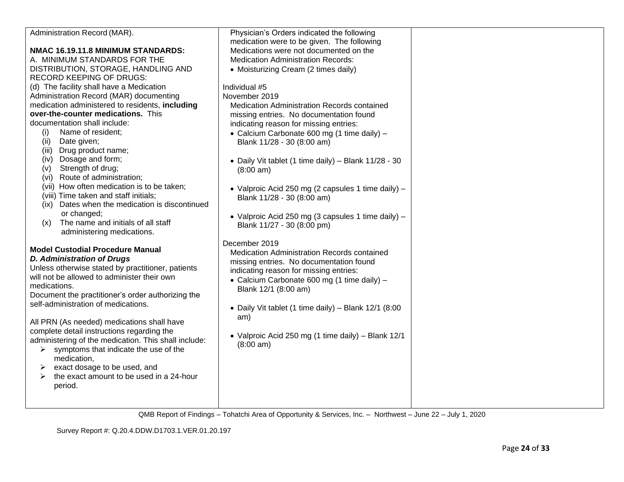| Administration Record (MAR).                         | Physician's Orders indicated the following             |  |
|------------------------------------------------------|--------------------------------------------------------|--|
|                                                      | medication were to be given. The following             |  |
| NMAC 16.19.11.8 MINIMUM STANDARDS:                   | Medications were not documented on the                 |  |
| A. MINIMUM STANDARDS FOR THE                         | <b>Medication Administration Records:</b>              |  |
| DISTRIBUTION, STORAGE, HANDLING AND                  | • Moisturizing Cream (2 times daily)                   |  |
| <b>RECORD KEEPING OF DRUGS:</b>                      |                                                        |  |
| (d) The facility shall have a Medication             | Individual #5                                          |  |
| Administration Record (MAR) documenting              | November 2019                                          |  |
| medication administered to residents, including      | Medication Administration Records contained            |  |
| over-the-counter medications. This                   | missing entries. No documentation found                |  |
| documentation shall include:                         | indicating reason for missing entries:                 |  |
| Name of resident;<br>(i)                             | • Calcium Carbonate 600 mg (1 time daily) -            |  |
| Date given;<br>(ii)                                  | Blank 11/28 - 30 (8:00 am)                             |  |
| Drug product name;<br>(iii)                          |                                                        |  |
| (iv) Dosage and form;                                | • Daily Vit tablet (1 time daily) - Blank 11/28 - 30   |  |
| Strength of drug;<br>(v)                             | $(8:00 \text{ am})$                                    |  |
| (vi) Route of administration;                        |                                                        |  |
| (vii) How often medication is to be taken;           | • Valproic Acid 250 mg (2 capsules 1 time daily) -     |  |
| (viii) Time taken and staff initials;                | Blank 11/28 - 30 (8:00 am)                             |  |
| Dates when the medication is discontinued<br>(ix)    |                                                        |  |
| or changed;                                          | • Valproic Acid 250 mg (3 capsules 1 time daily) $-$   |  |
| The name and initials of all staff<br>(x)            | Blank 11/27 - 30 (8:00 pm)                             |  |
| administering medications.                           |                                                        |  |
|                                                      | December 2019                                          |  |
| <b>Model Custodial Procedure Manual</b>              | Medication Administration Records contained            |  |
| <b>D. Administration of Drugs</b>                    | missing entries. No documentation found                |  |
| Unless otherwise stated by practitioner, patients    | indicating reason for missing entries:                 |  |
| will not be allowed to administer their own          | • Calcium Carbonate 600 mg (1 time daily) -            |  |
| medications.                                         | Blank 12/1 (8:00 am)                                   |  |
| Document the practitioner's order authorizing the    |                                                        |  |
| self-administration of medications.                  | • Daily Vit tablet (1 time daily) – Blank $12/1$ (8:00 |  |
|                                                      |                                                        |  |
| All PRN (As needed) medications shall have           | am)                                                    |  |
| complete detail instructions regarding the           |                                                        |  |
| administering of the medication. This shall include: | • Valproic Acid 250 mg (1 time daily) - Blank 12/1     |  |
| symptoms that indicate the use of the<br>➤           | $(8:00 \text{ am})$                                    |  |
| medication,                                          |                                                        |  |
| exact dosage to be used, and<br>➤                    |                                                        |  |
| the exact amount to be used in a 24-hour<br>➤        |                                                        |  |
| period.                                              |                                                        |  |
|                                                      |                                                        |  |
|                                                      |                                                        |  |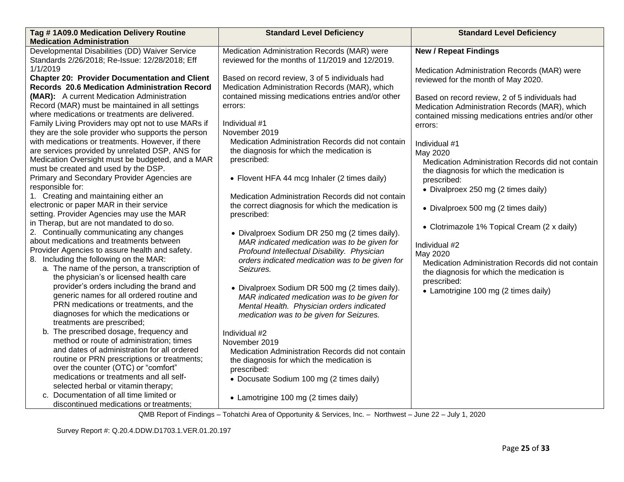| Tag #1A09.0 Medication Delivery Routine              | <b>Standard Level Deficiency</b>                   | <b>Standard Level Deficiency</b>                   |
|------------------------------------------------------|----------------------------------------------------|----------------------------------------------------|
| <b>Medication Administration</b>                     |                                                    |                                                    |
| Developmental Disabilities (DD) Waiver Service       | Medication Administration Records (MAR) were       | <b>New / Repeat Findings</b>                       |
| Standards 2/26/2018; Re-Issue: 12/28/2018; Eff       | reviewed for the months of 11/2019 and 12/2019.    |                                                    |
| 1/1/2019                                             |                                                    | Medication Administration Records (MAR) were       |
| <b>Chapter 20: Provider Documentation and Client</b> | Based on record review, 3 of 5 individuals had     | reviewed for the month of May 2020.                |
| Records 20.6 Medication Administration Record        | Medication Administration Records (MAR), which     |                                                    |
| (MAR): A current Medication Administration           | contained missing medications entries and/or other | Based on record review, 2 of 5 individuals had     |
| Record (MAR) must be maintained in all settings      | errors:                                            | Medication Administration Records (MAR), which     |
| where medications or treatments are delivered.       |                                                    | contained missing medications entries and/or other |
| Family Living Providers may opt not to use MARs if   | Individual #1                                      | errors:                                            |
| they are the sole provider who supports the person   | November 2019                                      |                                                    |
| with medications or treatments. However, if there    | Medication Administration Records did not contain  | Individual #1                                      |
| are services provided by unrelated DSP, ANS for      | the diagnosis for which the medication is          | May 2020                                           |
| Medication Oversight must be budgeted, and a MAR     | prescribed:                                        | Medication Administration Records did not contain  |
| must be created and used by the DSP.                 |                                                    | the diagnosis for which the medication is          |
| Primary and Secondary Provider Agencies are          | • Flovent HFA 44 mcg Inhaler (2 times daily)       | prescribed:                                        |
| responsible for:                                     |                                                    | • Divalproex 250 mg (2 times daily)                |
| 1. Creating and maintaining either an                | Medication Administration Records did not contain  |                                                    |
| electronic or paper MAR in their service             | the correct diagnosis for which the medication is  | • Divalproex 500 mg (2 times daily)                |
| setting. Provider Agencies may use the MAR           | prescribed:                                        |                                                    |
| in Therap, but are not mandated to do so.            |                                                    | • Clotrimazole 1% Topical Cream (2 x daily)        |
| 2. Continually communicating any changes             | • Divalproex Sodium DR 250 mg (2 times daily).     |                                                    |
| about medications and treatments between             | MAR indicated medication was to be given for       | Individual #2                                      |
| Provider Agencies to assure health and safety.       | Profound Intellectual Disability. Physician        | May 2020                                           |
| 8. Including the following on the MAR:               | orders indicated medication was to be given for    | Medication Administration Records did not contain  |
| a. The name of the person, a transcription of        | Seizures.                                          | the diagnosis for which the medication is          |
| the physician's or licensed health care              |                                                    | prescribed:                                        |
| provider's orders including the brand and            | • Divalproex Sodium DR 500 mg (2 times daily).     | • Lamotrigine 100 mg (2 times daily)               |
| generic names for all ordered routine and            | MAR indicated medication was to be given for       |                                                    |
| PRN medications or treatments, and the               | Mental Health. Physician orders indicated          |                                                    |
| diagnoses for which the medications or               | medication was to be given for Seizures.           |                                                    |
| treatments are prescribed;                           |                                                    |                                                    |
| b. The prescribed dosage, frequency and              | Individual #2                                      |                                                    |
| method or route of administration; times             | November 2019                                      |                                                    |
| and dates of administration for all ordered          | Medication Administration Records did not contain  |                                                    |
| routine or PRN prescriptions or treatments;          | the diagnosis for which the medication is          |                                                    |
| over the counter (OTC) or "comfort"                  | prescribed:                                        |                                                    |
| medications or treatments and all self-              | • Docusate Sodium 100 mg (2 times daily)           |                                                    |
| selected herbal or vitamin therapy;                  |                                                    |                                                    |
| c. Documentation of all time limited or              | • Lamotrigine 100 mg (2 times daily)               |                                                    |
| discontinued medications or treatments;              |                                                    |                                                    |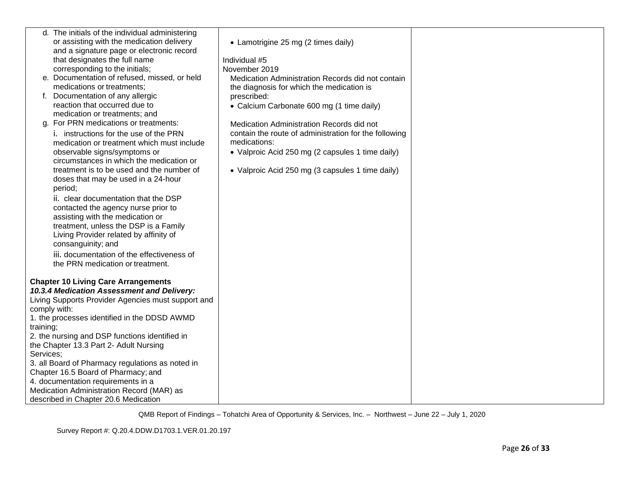|           | d. The initials of the individual administering    |                                                       |  |
|-----------|----------------------------------------------------|-------------------------------------------------------|--|
|           | or assisting with the medication delivery          | • Lamotrigine 25 mg (2 times daily)                   |  |
|           | and a signature page or electronic record          |                                                       |  |
|           | that designates the full name                      | Individual #5                                         |  |
|           | corresponding to the initials;                     | November 2019                                         |  |
|           | e. Documentation of refused, missed, or held       | Medication Administration Records did not contain     |  |
|           | medications or treatments;                         | the diagnosis for which the medication is             |  |
|           | f. Documentation of any allergic                   | prescribed:                                           |  |
|           | reaction that occurred due to                      | • Calcium Carbonate 600 mg (1 time daily)             |  |
|           | medication or treatments; and                      |                                                       |  |
|           | g. For PRN medications or treatments:              | Medication Administration Records did not             |  |
|           | i. instructions for the use of the PRN             | contain the route of administration for the following |  |
|           | medication or treatment which must include         | medications:                                          |  |
|           | observable signs/symptoms or                       | • Valproic Acid 250 mg (2 capsules 1 time daily)      |  |
|           | circumstances in which the medication or           |                                                       |  |
|           | treatment is to be used and the number of          | • Valproic Acid 250 mg (3 capsules 1 time daily)      |  |
|           | doses that may be used in a 24-hour                |                                                       |  |
|           | period;                                            |                                                       |  |
|           | ii. clear documentation that the DSP               |                                                       |  |
|           | contacted the agency nurse prior to                |                                                       |  |
|           | assisting with the medication or                   |                                                       |  |
|           | treatment, unless the DSP is a Family              |                                                       |  |
|           | Living Provider related by affinity of             |                                                       |  |
|           | consanguinity; and                                 |                                                       |  |
|           | iii. documentation of the effectiveness of         |                                                       |  |
|           | the PRN medication or treatment.                   |                                                       |  |
|           |                                                    |                                                       |  |
|           | <b>Chapter 10 Living Care Arrangements</b>         |                                                       |  |
|           | 10.3.4 Medication Assessment and Delivery:         |                                                       |  |
|           | Living Supports Provider Agencies must support and |                                                       |  |
|           | comply with:                                       |                                                       |  |
|           | 1. the processes identified in the DDSD AWMD       |                                                       |  |
| training; |                                                    |                                                       |  |
|           | 2. the nursing and DSP functions identified in     |                                                       |  |
|           | the Chapter 13.3 Part 2- Adult Nursing             |                                                       |  |
| Services; |                                                    |                                                       |  |
|           | 3. all Board of Pharmacy regulations as noted in   |                                                       |  |
|           | Chapter 16.5 Board of Pharmacy; and                |                                                       |  |
|           | 4. documentation requirements in a                 |                                                       |  |
|           | Medication Administration Record (MAR) as          |                                                       |  |
|           | described in Chapter 20.6 Medication               |                                                       |  |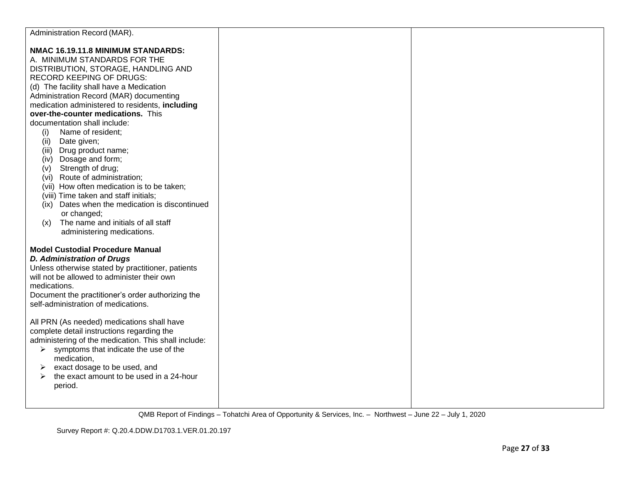| Administration Record (MAR).                                                                                                                                                                                                                                                                                                                                                                                                                                                                                                                                                                                                                                                                 |  |
|----------------------------------------------------------------------------------------------------------------------------------------------------------------------------------------------------------------------------------------------------------------------------------------------------------------------------------------------------------------------------------------------------------------------------------------------------------------------------------------------------------------------------------------------------------------------------------------------------------------------------------------------------------------------------------------------|--|
| NMAC 16.19.11.8 MINIMUM STANDARDS:<br>A. MINIMUM STANDARDS FOR THE<br>DISTRIBUTION, STORAGE, HANDLING AND<br><b>RECORD KEEPING OF DRUGS:</b><br>(d) The facility shall have a Medication<br>Administration Record (MAR) documenting<br>medication administered to residents, including<br>over-the-counter medications. This<br>documentation shall include:<br>(i)<br>Name of resident;<br>Date given;<br>(ii)<br>Drug product name;<br>(iii)<br>Dosage and form;<br>(iv)<br>(v) Strength of drug;<br>(vi) Route of administration;<br>(vii) How often medication is to be taken;<br>(viii) Time taken and staff initials;<br>(ix) Dates when the medication is discontinued<br>or changed; |  |
| The name and initials of all staff<br>(x)<br>administering medications.<br><b>Model Custodial Procedure Manual</b><br><b>D. Administration of Drugs</b><br>Unless otherwise stated by practitioner, patients<br>will not be allowed to administer their own<br>medications.<br>Document the practitioner's order authorizing the<br>self-administration of medications.<br>All PRN (As needed) medications shall have<br>complete detail instructions regarding the<br>administering of the medication. This shall include:<br>symptoms that indicate the use of the<br>➤<br>medication,<br>exact dosage to be used, and<br>➤<br>the exact amount to be used in a 24-hour<br>➤<br>period.    |  |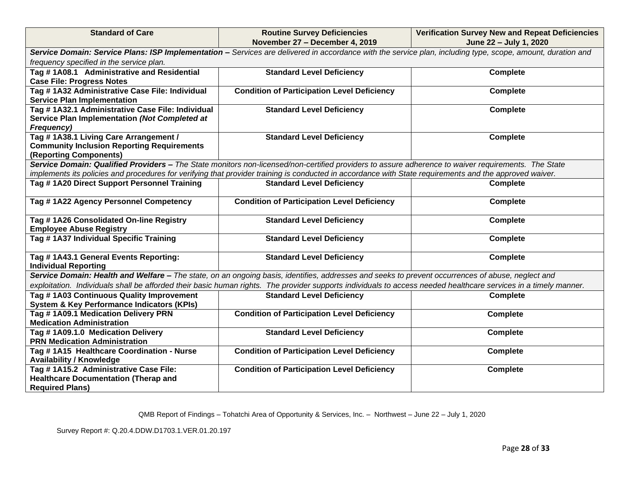| <b>Standard of Care</b>                                                                                                                                     | <b>Routine Survey Deficiencies</b>                                                                                                                               | <b>Verification Survey New and Repeat Deficiencies</b> |  |  |
|-------------------------------------------------------------------------------------------------------------------------------------------------------------|------------------------------------------------------------------------------------------------------------------------------------------------------------------|--------------------------------------------------------|--|--|
|                                                                                                                                                             | November 27 - December 4, 2019                                                                                                                                   | June 22 - July 1, 2020                                 |  |  |
| Service Domain: Service Plans: ISP Implementation - Services are delivered in accordance with the service plan, including type, scope, amount, duration and |                                                                                                                                                                  |                                                        |  |  |
| frequency specified in the service plan.                                                                                                                    |                                                                                                                                                                  |                                                        |  |  |
| Tag #1A08.1 Administrative and Residential                                                                                                                  | <b>Standard Level Deficiency</b>                                                                                                                                 | <b>Complete</b>                                        |  |  |
| <b>Case File: Progress Notes</b>                                                                                                                            |                                                                                                                                                                  |                                                        |  |  |
| Tag # 1A32 Administrative Case File: Individual                                                                                                             | <b>Condition of Participation Level Deficiency</b>                                                                                                               | <b>Complete</b>                                        |  |  |
| <b>Service Plan Implementation</b>                                                                                                                          |                                                                                                                                                                  |                                                        |  |  |
| Tag # 1A32.1 Administrative Case File: Individual                                                                                                           | <b>Standard Level Deficiency</b>                                                                                                                                 | <b>Complete</b>                                        |  |  |
| Service Plan Implementation (Not Completed at                                                                                                               |                                                                                                                                                                  |                                                        |  |  |
| <b>Frequency)</b>                                                                                                                                           |                                                                                                                                                                  |                                                        |  |  |
| Tag #1A38.1 Living Care Arrangement /                                                                                                                       | <b>Standard Level Deficiency</b>                                                                                                                                 | <b>Complete</b>                                        |  |  |
| <b>Community Inclusion Reporting Requirements</b>                                                                                                           |                                                                                                                                                                  |                                                        |  |  |
| (Reporting Components)                                                                                                                                      |                                                                                                                                                                  |                                                        |  |  |
|                                                                                                                                                             | Service Domain: Qualified Providers - The State monitors non-licensed/non-certified providers to assure adherence to waiver requirements. The State              |                                                        |  |  |
|                                                                                                                                                             | implements its policies and procedures for verifying that provider training is conducted in accordance with State requirements and the approved waiver.          |                                                        |  |  |
| Tag #1A20 Direct Support Personnel Training                                                                                                                 | <b>Standard Level Deficiency</b>                                                                                                                                 | <b>Complete</b>                                        |  |  |
| Tag #1A22 Agency Personnel Competency                                                                                                                       | <b>Condition of Participation Level Deficiency</b>                                                                                                               | <b>Complete</b>                                        |  |  |
|                                                                                                                                                             |                                                                                                                                                                  |                                                        |  |  |
| Tag #1A26 Consolidated On-line Registry                                                                                                                     | <b>Standard Level Deficiency</b>                                                                                                                                 | <b>Complete</b>                                        |  |  |
| <b>Employee Abuse Registry</b>                                                                                                                              |                                                                                                                                                                  |                                                        |  |  |
| Tag #1A37 Individual Specific Training                                                                                                                      | <b>Standard Level Deficiency</b>                                                                                                                                 | <b>Complete</b>                                        |  |  |
|                                                                                                                                                             |                                                                                                                                                                  |                                                        |  |  |
| Tag #1A43.1 General Events Reporting:                                                                                                                       | <b>Standard Level Deficiency</b>                                                                                                                                 | <b>Complete</b>                                        |  |  |
| <b>Individual Reporting</b>                                                                                                                                 |                                                                                                                                                                  |                                                        |  |  |
|                                                                                                                                                             | Service Domain: Health and Welfare - The state, on an ongoing basis, identifies, addresses and seeks to prevent occurrences of abuse, neglect and                |                                                        |  |  |
|                                                                                                                                                             | exploitation. Individuals shall be afforded their basic human rights. The provider supports individuals to access needed healthcare services in a timely manner. |                                                        |  |  |
| Tag #1A03 Continuous Quality Improvement                                                                                                                    | <b>Standard Level Deficiency</b>                                                                                                                                 | <b>Complete</b>                                        |  |  |
| <b>System &amp; Key Performance Indicators (KPIs)</b>                                                                                                       |                                                                                                                                                                  |                                                        |  |  |
| Tag #1A09.1 Medication Delivery PRN                                                                                                                         | <b>Condition of Participation Level Deficiency</b>                                                                                                               | <b>Complete</b>                                        |  |  |
| <b>Medication Administration</b>                                                                                                                            |                                                                                                                                                                  |                                                        |  |  |
| Tag #1A09.1.0 Medication Delivery                                                                                                                           | <b>Standard Level Deficiency</b>                                                                                                                                 | <b>Complete</b>                                        |  |  |
| <b>PRN Medication Administration</b>                                                                                                                        |                                                                                                                                                                  |                                                        |  |  |
| Tag #1A15 Healthcare Coordination - Nurse                                                                                                                   | <b>Condition of Participation Level Deficiency</b>                                                                                                               | <b>Complete</b>                                        |  |  |
| <b>Availability / Knowledge</b>                                                                                                                             |                                                                                                                                                                  |                                                        |  |  |
| Tag # 1A15.2 Administrative Case File:                                                                                                                      | <b>Condition of Participation Level Deficiency</b>                                                                                                               | <b>Complete</b>                                        |  |  |
| <b>Healthcare Documentation (Therap and</b>                                                                                                                 |                                                                                                                                                                  |                                                        |  |  |
| <b>Required Plans)</b>                                                                                                                                      |                                                                                                                                                                  |                                                        |  |  |

Survey Report #: Q.20.4.DDW.D1703.1.VER.01.20.197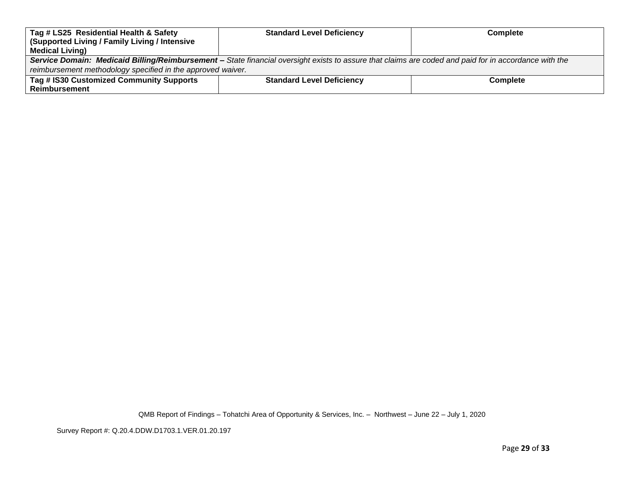| Tag # LS25 Residential Health & Safety                                                                                                                | <b>Standard Level Deficiency</b> | <b>Complete</b> |
|-------------------------------------------------------------------------------------------------------------------------------------------------------|----------------------------------|-----------------|
| (Supported Living / Family Living / Intensive                                                                                                         |                                  |                 |
| <b>Medical Living)</b>                                                                                                                                |                                  |                 |
| Service Domain: Medicaid Billing/Reimbursement - State financial oversight exists to assure that claims are coded and paid for in accordance with the |                                  |                 |
| reimbursement methodology specified in the approved waiver.                                                                                           |                                  |                 |
| Tag # IS30 Customized Community Supports                                                                                                              | <b>Standard Level Deficiency</b> | <b>Complete</b> |
| <b>Reimbursement</b>                                                                                                                                  |                                  |                 |

Survey Report #: Q.20.4.DDW.D1703.1.VER.01.20.197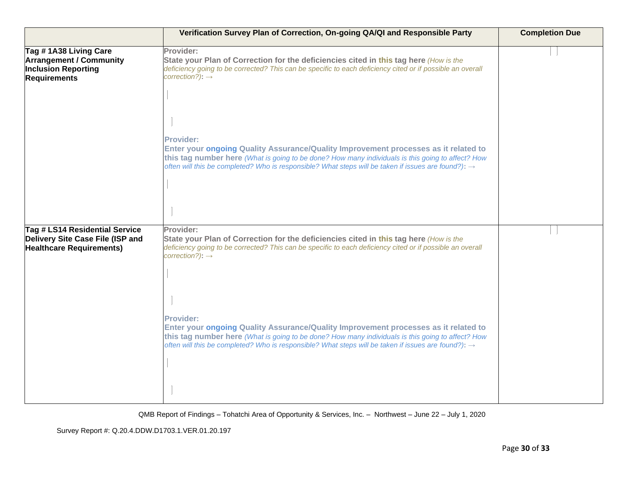|                                                                                                              | Verification Survey Plan of Correction, On-going QA/QI and Responsible Party                                                                                                                                                                                                                                                    | <b>Completion Due</b> |
|--------------------------------------------------------------------------------------------------------------|---------------------------------------------------------------------------------------------------------------------------------------------------------------------------------------------------------------------------------------------------------------------------------------------------------------------------------|-----------------------|
| Tag #1A38 Living Care<br><b>Arrangement / Community</b><br><b>Inclusion Reporting</b><br><b>Requirements</b> | Provider:<br>State your Plan of Correction for the deficiencies cited in this tag here (How is the<br>deficiency going to be corrected? This can be specific to each deficiency cited or if possible an overall<br>$correction$ ?): $\rightarrow$                                                                               |                       |
|                                                                                                              | <b>Provider:</b><br>Enter your ongoing Quality Assurance/Quality Improvement processes as it related to<br>this tag number here (What is going to be done? How many individuals is this going to affect? How<br>often will this be completed? Who is responsible? What steps will be taken if issues are found?): $\rightarrow$ |                       |
| Tag # LS14 Residential Service<br>Delivery Site Case File (ISP and<br><b>Healthcare Requirements)</b>        | Provider:<br>State your Plan of Correction for the deficiencies cited in this tag here (How is the<br>deficiency going to be corrected? This can be specific to each deficiency cited or if possible an overall<br>$correction$ ?): $\rightarrow$                                                                               |                       |
|                                                                                                              | <b>Provider:</b><br>Enter your ongoing Quality Assurance/Quality Improvement processes as it related to<br>this tag number here (What is going to be done? How many individuals is this going to affect? How<br>often will this be completed? Who is responsible? What steps will be taken if issues are found?): $\rightarrow$ |                       |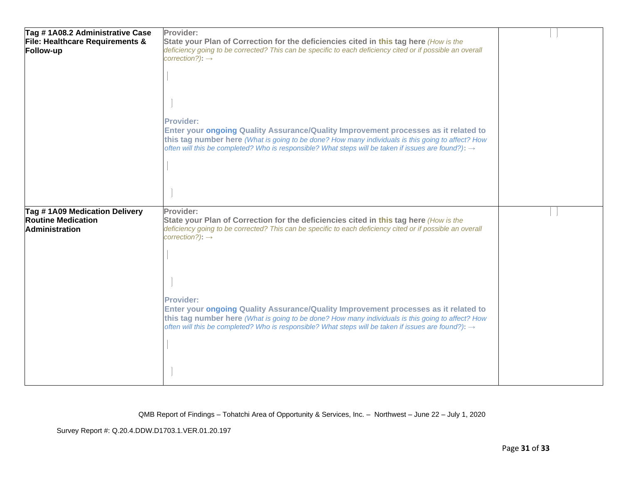| Tag #1A08.2 Administrative Case                            | Provider:                                                                                                       |  |
|------------------------------------------------------------|-----------------------------------------------------------------------------------------------------------------|--|
| File: Healthcare Requirements &                            | State your Plan of Correction for the deficiencies cited in this tag here (How is the                           |  |
| Follow-up                                                  | deficiency going to be corrected? This can be specific to each deficiency cited or if possible an overall       |  |
|                                                            | $correction$ ?): $\rightarrow$                                                                                  |  |
|                                                            |                                                                                                                 |  |
|                                                            |                                                                                                                 |  |
|                                                            |                                                                                                                 |  |
|                                                            |                                                                                                                 |  |
|                                                            |                                                                                                                 |  |
|                                                            | <b>Provider:</b>                                                                                                |  |
|                                                            | Enter your ongoing Quality Assurance/Quality Improvement processes as it related to                             |  |
|                                                            | this tag number here (What is going to be done? How many individuals is this going to affect? How               |  |
|                                                            | often will this be completed? Who is responsible? What steps will be taken if issues are found?): $\rightarrow$ |  |
|                                                            |                                                                                                                 |  |
|                                                            |                                                                                                                 |  |
|                                                            |                                                                                                                 |  |
|                                                            |                                                                                                                 |  |
|                                                            |                                                                                                                 |  |
|                                                            | Provider:                                                                                                       |  |
|                                                            |                                                                                                                 |  |
| Tag #1A09 Medication Delivery<br><b>Routine Medication</b> | State your Plan of Correction for the deficiencies cited in this tag here (How is the                           |  |
| <b>Administration</b>                                      | deficiency going to be corrected? This can be specific to each deficiency cited or if possible an overall       |  |
|                                                            | $correction$ ?): $\rightarrow$                                                                                  |  |
|                                                            |                                                                                                                 |  |
|                                                            |                                                                                                                 |  |
|                                                            |                                                                                                                 |  |
|                                                            |                                                                                                                 |  |
|                                                            |                                                                                                                 |  |
|                                                            | <b>Provider:</b>                                                                                                |  |
|                                                            | Enter your ongoing Quality Assurance/Quality Improvement processes as it related to                             |  |
|                                                            | this tag number here (What is going to be done? How many individuals is this going to affect? How               |  |
|                                                            | often will this be completed? Who is responsible? What steps will be taken if issues are found?): $\rightarrow$ |  |
|                                                            |                                                                                                                 |  |
|                                                            |                                                                                                                 |  |
|                                                            |                                                                                                                 |  |
|                                                            |                                                                                                                 |  |

Survey Report #: Q.20.4.DDW.D1703.1.VER.01.20.197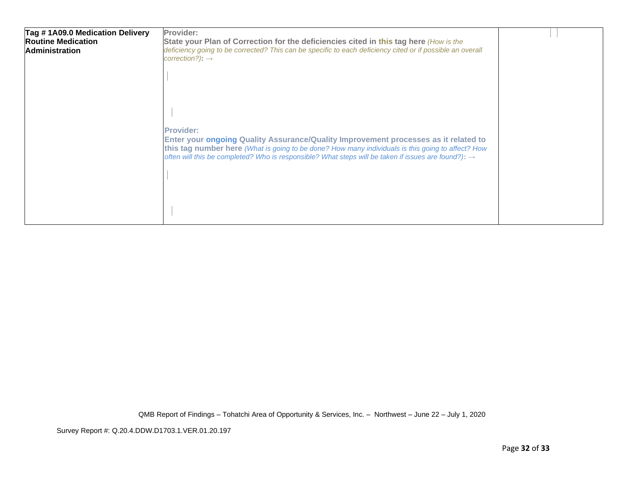| Tag #1A09.0 Medication Delivery<br><b>Routine Medication</b><br><b>Administration</b> | Provider:<br>State your Plan of Correction for the deficiencies cited in this tag here (How is the<br>deficiency going to be corrected? This can be specific to each deficiency cited or if possible an overall<br>correction?): $\rightarrow$                                                                                  |  |
|---------------------------------------------------------------------------------------|---------------------------------------------------------------------------------------------------------------------------------------------------------------------------------------------------------------------------------------------------------------------------------------------------------------------------------|--|
|                                                                                       |                                                                                                                                                                                                                                                                                                                                 |  |
|                                                                                       | <b>Provider:</b><br>Enter your ongoing Quality Assurance/Quality Improvement processes as it related to<br>this tag number here (What is going to be done? How many individuals is this going to affect? How<br>often will this be completed? Who is responsible? What steps will be taken if issues are found?): $\rightarrow$ |  |
|                                                                                       |                                                                                                                                                                                                                                                                                                                                 |  |